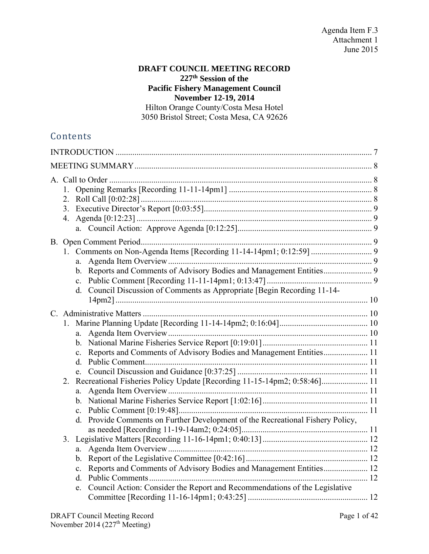## **DRAFT COUNCIL MEETING RECORD 227th Session of the Pacific Fishery Management Council November 12-19, 2014**

Hilton Orange County/Costa Mesa Hotel 3050 Bristol Street; Costa Mesa, CA 92626

# Contents

| 4.                                                                                                                                                                                                                                                                                                                                                                                                                              |  |
|---------------------------------------------------------------------------------------------------------------------------------------------------------------------------------------------------------------------------------------------------------------------------------------------------------------------------------------------------------------------------------------------------------------------------------|--|
| a.<br>d. Council Discussion of Comments as Appropriate [Begin Recording 11-14-                                                                                                                                                                                                                                                                                                                                                  |  |
| a.<br>Reports and Comments of Advisory Bodies and Management Entities 11<br>$\mathbf{c}$ .<br>d.<br>Recreational Fisheries Policy Update [Recording 11-15-14pm2; 0:58:46] 11<br>2.<br>a.<br>$c_{-}$<br>Provide Comments on Further Development of the Recreational Fishery Policy,<br>$d_{\cdot}$<br>3.<br>a.<br>$b_{-}$<br>Reports and Comments of Advisory Bodies and Management Entities 12<br>$\mathbf{c}$ .<br>$d_{\cdot}$ |  |
| Council Action: Consider the Report and Recommendations of the Legislative<br>e.                                                                                                                                                                                                                                                                                                                                                |  |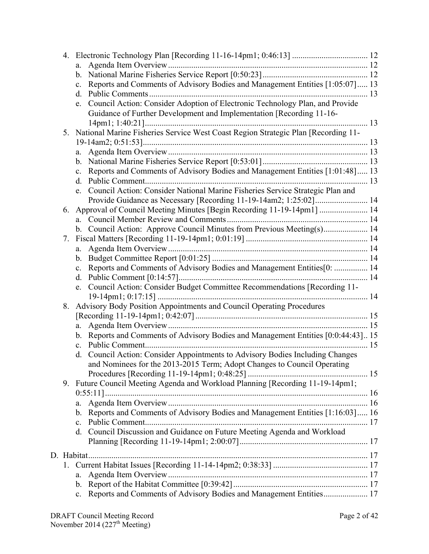|    | a.                                                                                             |    |
|----|------------------------------------------------------------------------------------------------|----|
|    | b.                                                                                             |    |
|    | Reports and Comments of Advisory Bodies and Management Entities [1:05:07] 13<br>$\mathbf{c}$ . |    |
|    | d.                                                                                             |    |
|    | Council Action: Consider Adoption of Electronic Technology Plan, and Provide<br>e.             |    |
|    | Guidance of Further Development and Implementation [Recording 11-16-                           |    |
|    |                                                                                                |    |
| 5. | National Marine Fisheries Service West Coast Region Strategic Plan [Recording 11-              |    |
|    |                                                                                                |    |
|    | a.                                                                                             |    |
|    | b.                                                                                             |    |
|    | Reports and Comments of Advisory Bodies and Management Entities [1:01:48] 13<br>$\mathbf{c}$ . |    |
|    | d.                                                                                             |    |
|    | Council Action: Consider National Marine Fisheries Service Strategic Plan and<br>e.            |    |
|    | Provide Guidance as Necessary [Recording 11-19-14am2; 1:25:02] 14                              |    |
| 6. | Approval of Council Meeting Minutes [Begin Recording 11-19-14pm1]  14                          |    |
|    | a.                                                                                             |    |
|    | b. Council Action: Approve Council Minutes from Previous Meeting(s) 14                         |    |
| 7. |                                                                                                |    |
|    | a.                                                                                             |    |
|    | b.                                                                                             |    |
|    | Reports and Comments of Advisory Bodies and Management Entities[0:  14<br>$\mathbf{c}$ .       |    |
|    |                                                                                                |    |
|    | Council Action: Consider Budget Committee Recommendations [Recording 11-<br>e.                 |    |
|    |                                                                                                |    |
| 8. | Advisory Body Position Appointments and Council Operating Procedures                           |    |
|    |                                                                                                |    |
|    | a.                                                                                             |    |
|    | Reports and Comments of Advisory Bodies and Management Entities [0:0:44:43] 15<br>b.           |    |
|    | $\mathbf{c}$ .                                                                                 | 15 |
|    | Council Action: Consider Appointments to Advisory Bodies Including Changes<br>d.               |    |
|    | and Nominees for the 2013-2015 Term; Adopt Changes to Council Operating                        |    |
|    |                                                                                                |    |
|    | 9. Future Council Meeting Agenda and Workload Planning [Recording 11-19-14pm1;                 |    |
|    |                                                                                                |    |
|    | a.                                                                                             |    |
|    | Reports and Comments of Advisory Bodies and Management Entities [1:16:03] 16<br>b.             |    |
|    | $\mathbf{c}$ .                                                                                 |    |
|    | d. Council Discussion and Guidance on Future Meeting Agenda and Workload                       |    |
|    |                                                                                                |    |
|    |                                                                                                |    |
|    |                                                                                                |    |
|    | a.                                                                                             |    |
|    | b.                                                                                             |    |
|    | Reports and Comments of Advisory Bodies and Management Entities 17<br>$\mathbf{c}$ .           |    |
|    |                                                                                                |    |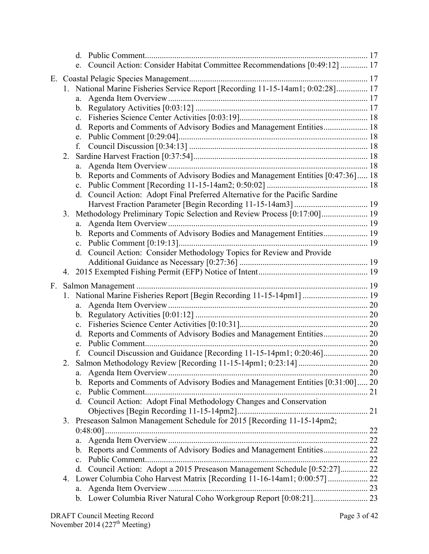|              | d.<br>e.       | Council Action: Consider Habitat Committee Recommendations [0:49:12]  17        |  |  |  |  |  |
|--------------|----------------|---------------------------------------------------------------------------------|--|--|--|--|--|
|              |                |                                                                                 |  |  |  |  |  |
|              |                | 1. National Marine Fisheries Service Report [Recording 11-15-14am1; 0:02:28] 17 |  |  |  |  |  |
|              | a.             |                                                                                 |  |  |  |  |  |
|              |                |                                                                                 |  |  |  |  |  |
|              |                |                                                                                 |  |  |  |  |  |
|              | d.             | Reports and Comments of Advisory Bodies and Management Entities 18              |  |  |  |  |  |
|              | e.             |                                                                                 |  |  |  |  |  |
|              | f.             |                                                                                 |  |  |  |  |  |
|              | 2.             |                                                                                 |  |  |  |  |  |
|              | a.             |                                                                                 |  |  |  |  |  |
|              |                | b. Reports and Comments of Advisory Bodies and Management Entities [0:47:36] 18 |  |  |  |  |  |
|              |                |                                                                                 |  |  |  |  |  |
|              |                | d. Council Action: Adopt Final Preferred Alternative for the Pacific Sardine    |  |  |  |  |  |
|              | 3.             | Methodology Preliminary Topic Selection and Review Process [0:17:00] 19         |  |  |  |  |  |
|              | a.             |                                                                                 |  |  |  |  |  |
|              |                | b. Reports and Comments of Advisory Bodies and Management Entities 19           |  |  |  |  |  |
|              |                |                                                                                 |  |  |  |  |  |
|              |                | d. Council Action: Consider Methodology Topics for Review and Provide           |  |  |  |  |  |
|              |                |                                                                                 |  |  |  |  |  |
|              |                |                                                                                 |  |  |  |  |  |
| $F_{\rm{c}}$ |                |                                                                                 |  |  |  |  |  |
|              |                | 1. National Marine Fisheries Report [Begin Recording 11-15-14pm1]  19           |  |  |  |  |  |
|              | a.             |                                                                                 |  |  |  |  |  |
|              |                |                                                                                 |  |  |  |  |  |
|              | $\mathbf{c}$ . |                                                                                 |  |  |  |  |  |
|              | d.             | Reports and Comments of Advisory Bodies and Management Entities 20              |  |  |  |  |  |
|              | e.             |                                                                                 |  |  |  |  |  |
|              | f.             |                                                                                 |  |  |  |  |  |
|              |                |                                                                                 |  |  |  |  |  |
|              |                |                                                                                 |  |  |  |  |  |
|              |                | b. Reports and Comments of Advisory Bodies and Management Entities [0:31:00] 20 |  |  |  |  |  |
|              | $\mathbf{c}$ . | d. Council Action: Adopt Final Methodology Changes and Conservation             |  |  |  |  |  |
|              |                |                                                                                 |  |  |  |  |  |
|              |                |                                                                                 |  |  |  |  |  |
|              |                |                                                                                 |  |  |  |  |  |
|              |                | 3. Preseason Salmon Management Schedule for 2015 [Recording 11-15-14pm2;        |  |  |  |  |  |
|              |                |                                                                                 |  |  |  |  |  |
|              | a.             |                                                                                 |  |  |  |  |  |
|              | $c_{\cdot}$    | b. Reports and Comments of Advisory Bodies and Management Entities 22           |  |  |  |  |  |
|              |                | d. Council Action: Adopt a 2015 Preseason Management Schedule [0:52:27] 22      |  |  |  |  |  |
|              | 4.             | Lower Columbia Coho Harvest Matrix [Recording 11-16-14am1; 0:00:57] 22          |  |  |  |  |  |
|              | a.             |                                                                                 |  |  |  |  |  |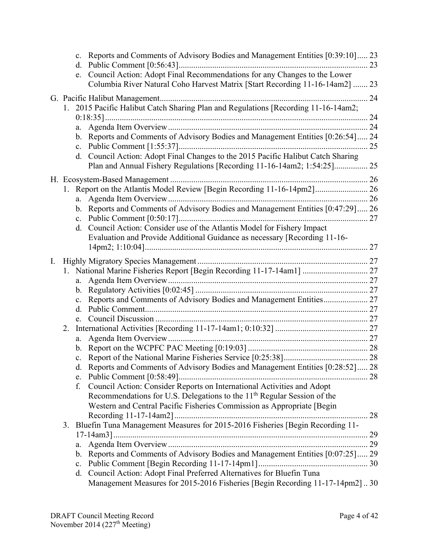|    |         | c. Reports and Comments of Advisory Bodies and Management Entities [0:39:10] 23                                                                             |    |
|----|---------|-------------------------------------------------------------------------------------------------------------------------------------------------------------|----|
|    |         | e. Council Action: Adopt Final Recommendations for any Changes to the Lower<br>Columbia River Natural Coho Harvest Matrix [Start Recording 11-16-14am2]  23 |    |
|    |         |                                                                                                                                                             | 24 |
|    |         | 1. 2015 Pacific Halibut Catch Sharing Plan and Regulations [Recording 11-16-14am2;                                                                          |    |
|    | a.      |                                                                                                                                                             |    |
|    |         | b. Reports and Comments of Advisory Bodies and Management Entities [0:26:54] 24                                                                             |    |
|    |         | d. Council Action: Adopt Final Changes to the 2015 Pacific Halibut Catch Sharing                                                                            |    |
|    |         |                                                                                                                                                             |    |
|    |         |                                                                                                                                                             |    |
|    | 1.      | Report on the Atlantis Model Review [Begin Recording 11-16-14pm2] 26                                                                                        |    |
|    |         |                                                                                                                                                             |    |
|    |         | b. Reports and Comments of Advisory Bodies and Management Entities [0:47:29] 26                                                                             |    |
|    |         | d. Council Action: Consider use of the Atlantis Model for Fishery Impact                                                                                    |    |
|    |         | Evaluation and Provide Additional Guidance as necessary [Recording 11-16-                                                                                   |    |
|    |         |                                                                                                                                                             |    |
| I. |         |                                                                                                                                                             |    |
|    |         | 1. National Marine Fisheries Report [Begin Recording 11-17-14am1]  27                                                                                       |    |
|    |         |                                                                                                                                                             |    |
|    |         |                                                                                                                                                             |    |
|    |         | c. Reports and Comments of Advisory Bodies and Management Entities 27                                                                                       |    |
|    |         |                                                                                                                                                             |    |
|    | e.      |                                                                                                                                                             |    |
|    | 2.      |                                                                                                                                                             |    |
|    |         |                                                                                                                                                             |    |
|    |         |                                                                                                                                                             |    |
|    | d.      | Reports and Comments of Advisory Bodies and Management Entities [0:28:52] 28                                                                                |    |
|    |         |                                                                                                                                                             |    |
|    | f.      | Council Action: Consider Reports on International Activities and Adopt                                                                                      |    |
|    |         | Recommendations for U.S. Delegations to the 11 <sup>th</sup> Regular Session of the                                                                         |    |
|    |         | Western and Central Pacific Fisheries Commission as Appropriate [Begin]                                                                                     |    |
|    |         |                                                                                                                                                             | 28 |
|    |         | 3. Bluefin Tuna Management Measures for 2015-2016 Fisheries [Begin Recording 11-                                                                            |    |
|    |         |                                                                                                                                                             |    |
|    | a.      |                                                                                                                                                             |    |
|    | $b_{-}$ | Reports and Comments of Advisory Bodies and Management Entities [0:07:25] 29                                                                                |    |
|    |         | d. Council Action: Adopt Final Preferred Alternatives for Bluefin Tuna                                                                                      |    |
|    |         | Management Measures for 2015-2016 Fisheries [Begin Recording 11-17-14pm2] 30                                                                                |    |
|    |         |                                                                                                                                                             |    |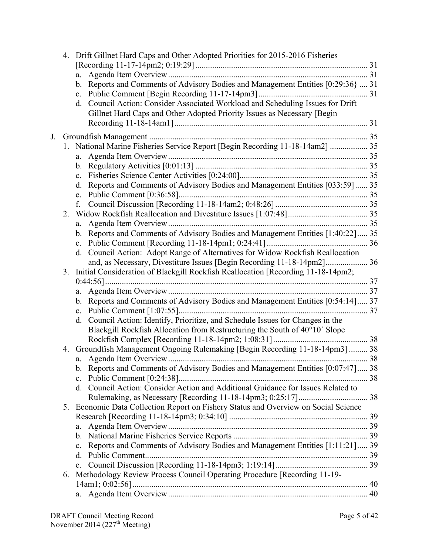|    |    | 4. Drift Gillnet Hard Caps and Other Adopted Priorities for 2015-2016 Fisheries         |  |
|----|----|-----------------------------------------------------------------------------------------|--|
|    |    |                                                                                         |  |
|    |    | a.                                                                                      |  |
|    |    | b. Reports and Comments of Advisory Bodies and Management Entities [0:29:36]  31        |  |
|    |    |                                                                                         |  |
|    |    | Council Action: Consider Associated Workload and Scheduling Issues for Drift<br>d.      |  |
|    |    | Gillnet Hard Caps and Other Adopted Priority Issues as Necessary [Begin                 |  |
|    |    |                                                                                         |  |
| J. |    |                                                                                         |  |
|    |    | 1. National Marine Fisheries Service Report [Begin Recording 11-18-14am2]  35           |  |
|    |    | a.                                                                                      |  |
|    |    |                                                                                         |  |
|    |    |                                                                                         |  |
|    |    | Reports and Comments of Advisory Bodies and Management Entities [033:59] 35<br>d.       |  |
|    |    | e.                                                                                      |  |
|    |    | f.                                                                                      |  |
|    | 2. |                                                                                         |  |
|    |    | a.                                                                                      |  |
|    |    | b. Reports and Comments of Advisory Bodies and Management Entities [1:40:22] 35         |  |
|    |    |                                                                                         |  |
|    |    | d. Council Action: Adopt Range of Alternatives for Widow Rockfish Reallocation          |  |
|    |    |                                                                                         |  |
|    | 3. | Initial Consideration of Blackgill Rockfish Reallocation [Recording 11-18-14pm2;        |  |
|    |    |                                                                                         |  |
|    |    | a.                                                                                      |  |
|    |    | b. Reports and Comments of Advisory Bodies and Management Entities [0:54:14] 37         |  |
|    |    |                                                                                         |  |
|    |    | d. Council Action: Identify, Prioritize, and Schedule Issues for Changes in the         |  |
|    |    | Blackgill Rockfish Allocation from Restructuring the South of 40°10' Slope              |  |
|    |    |                                                                                         |  |
|    | 4. | Groundfish Management Ongoing Rulemaking [Begin Recording 11-18-14pm3]  38              |  |
|    |    |                                                                                         |  |
|    |    | Reports and Comments of Advisory Bodies and Management Entities [0:07:47] 38<br>$b_{-}$ |  |
|    |    | c.                                                                                      |  |
|    |    | Council Action: Consider Action and Additional Guidance for Issues Related to<br>d.     |  |
|    |    |                                                                                         |  |
|    |    | 5. Economic Data Collection Report on Fishery Status and Overview on Social Science     |  |
|    |    |                                                                                         |  |
|    |    | a.                                                                                      |  |
|    |    | b.                                                                                      |  |
|    |    | Reports and Comments of Advisory Bodies and Management Entities [1:11:21] 39<br>c.      |  |
|    |    | d.                                                                                      |  |
|    |    | e.                                                                                      |  |
|    | 6. | Methodology Review Process Council Operating Procedure [Recording 11-19-                |  |
|    |    |                                                                                         |  |
|    |    |                                                                                         |  |
|    |    |                                                                                         |  |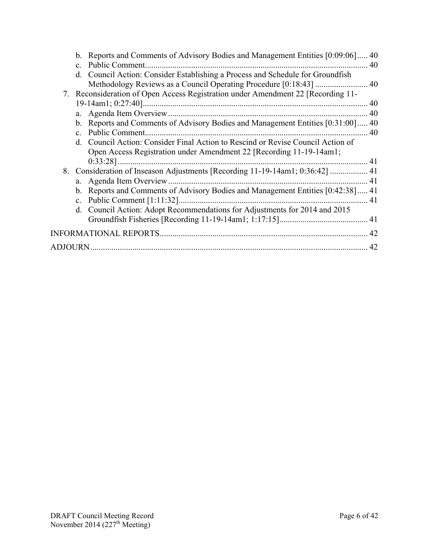| b.             | Reports and Comments of Advisory Bodies and Management Entities [0:09:06] 40     |    |
|----------------|----------------------------------------------------------------------------------|----|
| $\mathbf{c}$ . | Public Comment.                                                                  |    |
|                | d. Council Action: Consider Establishing a Process and Schedule for Groundfish   |    |
|                |                                                                                  |    |
|                | 7. Reconsideration of Open Access Registration under Amendment 22 [Recording 11- |    |
|                |                                                                                  |    |
|                |                                                                                  | 40 |
| b.             | Reports and Comments of Advisory Bodies and Management Entities [0:31:00] 40     |    |
| $\mathbf{c}$ . | Public Comment.<br>40                                                            |    |
|                | d. Council Action: Consider Final Action to Rescind or Revise Council Action of  |    |
|                | Open Access Registration under Amendment 22 [Recording 11-19-14am1;              |    |
|                |                                                                                  |    |
|                | 8. Consideration of Inseason Adjustments [Recording 11-19-14am1; 0:36:42]  41    |    |
| a.             |                                                                                  |    |
| $b_{\cdot}$    | Reports and Comments of Advisory Bodies and Management Entities [0:42:38] 41     |    |
| $\mathbf{c}$ . |                                                                                  |    |
| d.             | Council Action: Adopt Recommendations for Adjustments for 2014 and 2015          |    |
|                |                                                                                  |    |
|                |                                                                                  |    |
|                |                                                                                  | 42 |
|                |                                                                                  |    |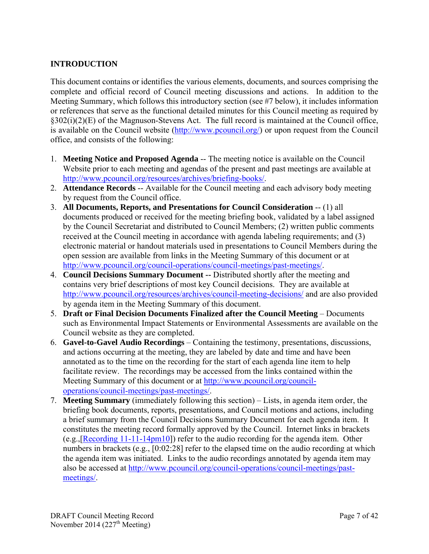## **INTRODUCTION**

This document contains or identifies the various elements, documents, and sources comprising the complete and official record of Council meeting discussions and actions. In addition to the Meeting Summary, which follows this introductory section (see #7 below), it includes information or references that serve as the functional detailed minutes for this Council meeting as required by §302(i)(2)(E) of the Magnuson-Stevens Act. The full record is maintained at the Council office, is available on the Council website (http://www.pcouncil.org/) or upon request from the Council office, and consists of the following:

- 1. **Meeting Notice and Proposed Agenda** -- The meeting notice is available on the Council Website prior to each meeting and agendas of the present and past meetings are available at http://www.pcouncil.org/resources/archives/briefing-books/.
- 2. **Attendance Records** -- Available for the Council meeting and each advisory body meeting by request from the Council office.
- 3. **All Documents, Reports, and Presentations for Council Consideration** -- (1) all documents produced or received for the meeting briefing book, validated by a label assigned by the Council Secretariat and distributed to Council Members; (2) written public comments received at the Council meeting in accordance with agenda labeling requirements; and (3) electronic material or handout materials used in presentations to Council Members during the open session are available from links in the Meeting Summary of this document or at http://www.pcouncil.org/council-operations/council-meetings/past-meetings/.
- 4. **Council Decisions Summary Document --** Distributed shortly after the meeting and contains very brief descriptions of most key Council decisions. They are available at http://www.pcouncil.org/resources/archives/council-meeting-decisions/ and are also provided by agenda item in the Meeting Summary of this document.
- 5. **Draft or Final Decision Documents Finalized after the Council Meeting** Documents such as Environmental Impact Statements or Environmental Assessments are available on the Council website as they are completed.
- 6. **Gavel-to-Gavel Audio Recordings** Containing the testimony, presentations, discussions, and actions occurring at the meeting, they are labeled by date and time and have been annotated as to the time on the recording for the start of each agenda line item to help facilitate review. The recordings may be accessed from the links contained within the Meeting Summary of this document or at http://www.pcouncil.org/counciloperations/council-meetings/past-meetings/.
- 7. **Meeting Summary** (immediately following this section) Lists, in agenda item order, the briefing book documents, reports, presentations, and Council motions and actions, including a brief summary from the Council Decisions Summary Document for each agenda item. It constitutes the meeting record formally approved by the Council. Internet links in brackets (e.g.,[Recording 11-11-14pm10]) refer to the audio recording for the agenda item. Other numbers in brackets (e.g., [0:02:28] refer to the elapsed time on the audio recording at which the agenda item was initiated. Links to the audio recordings annotated by agenda item may also be accessed at http://www.pcouncil.org/council-operations/council-meetings/pastmeetings/.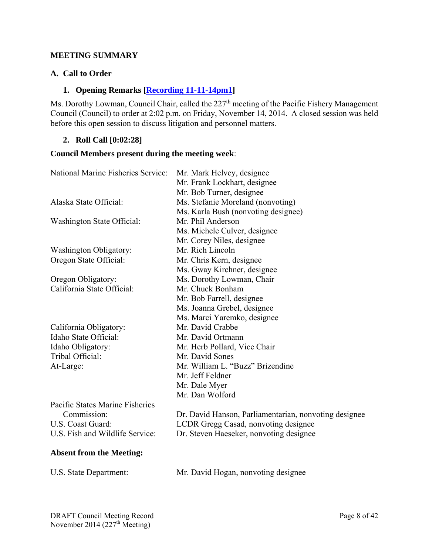### **MEETING SUMMARY**

### **A. Call to Order**

## **1. Opening Remarks [Recording 11-11-14pm1]**

Ms. Dorothy Lowman, Council Chair, called the 227<sup>th</sup> meeting of the Pacific Fishery Management Council (Council) to order at 2:02 p.m. on Friday, November 14, 2014. A closed session was held before this open session to discuss litigation and personnel matters.

#### **2. Roll Call [0:02:28]**

#### **Council Members present during the meeting week**:

| National Marine Fisheries Service: | Mr. Mark Helvey, designee                             |
|------------------------------------|-------------------------------------------------------|
|                                    | Mr. Frank Lockhart, designee                          |
|                                    | Mr. Bob Turner, designee                              |
| Alaska State Official:             | Ms. Stefanie Moreland (nonvoting)                     |
|                                    | Ms. Karla Bush (nonvoting designee)                   |
| Washington State Official:         | Mr. Phil Anderson                                     |
|                                    | Ms. Michele Culver, designee                          |
|                                    | Mr. Corey Niles, designee                             |
| Washington Obligatory:             | Mr. Rich Lincoln                                      |
| Oregon State Official:             | Mr. Chris Kern, designee                              |
|                                    | Ms. Gway Kirchner, designee                           |
| Oregon Obligatory:                 | Ms. Dorothy Lowman, Chair                             |
| California State Official:         | Mr. Chuck Bonham                                      |
|                                    | Mr. Bob Farrell, designee                             |
|                                    | Ms. Joanna Grebel, designee                           |
|                                    | Ms. Marci Yaremko, designee                           |
| California Obligatory:             | Mr. David Crabbe                                      |
| Idaho State Official:              | Mr. David Ortmann                                     |
| Idaho Obligatory:                  | Mr. Herb Pollard, Vice Chair                          |
| Tribal Official:                   | Mr. David Sones                                       |
| At-Large:                          | Mr. William L. "Buzz" Brizendine                      |
|                                    | Mr. Jeff Feldner                                      |
|                                    | Mr. Dale Myer                                         |
|                                    | Mr. Dan Wolford                                       |
| Pacific States Marine Fisheries    |                                                       |
| Commission:                        | Dr. David Hanson, Parliamentarian, nonvoting designee |
| U.S. Coast Guard:                  | LCDR Gregg Casad, nonvoting designee                  |
| U.S. Fish and Wildlife Service:    | Dr. Steven Haeseker, nonvoting designee               |

#### **Absent from the Meeting:**

| U.S. State Department: |  |
|------------------------|--|
|                        |  |

Mr. David Hogan, nonvoting designee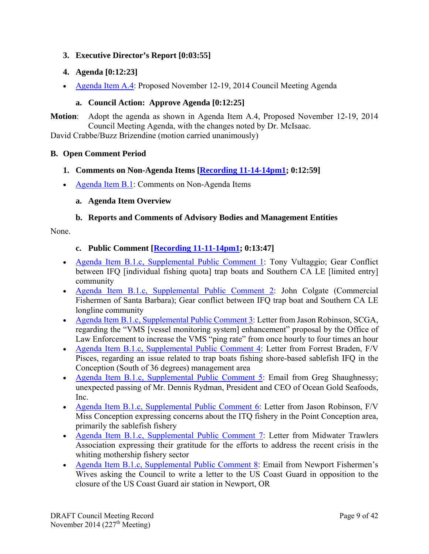## **3. Executive Director's Report [0:03:55]**

## **4. Agenda [0:12:23]**

Agenda Item A.4: Proposed November 12-19, 2014 Council Meeting Agenda

## **a. Council Action: Approve Agenda [0:12:25]**

**Motion**: Adopt the agenda as shown in Agenda Item A.4, Proposed November 12-19, 2014 Council Meeting Agenda, with the changes noted by Dr. McIsaac.

David Crabbe/Buzz Brizendine (motion carried unanimously)

### **B. Open Comment Period**

- **1. Comments on Non-Agenda Items [Recording 11-14-14pm1; 0:12:59]**
- Agenda Item B.1: Comments on Non-Agenda Items

### **a. Agenda Item Overview**

## **b. Reports and Comments of Advisory Bodies and Management Entities**

None.

### **c. Public Comment [Recording 11-11-14pm1; 0:13:47]**

- Agenda Item B.1.c, Supplemental Public Comment 1: Tony Vultaggio; Gear Conflict between IFQ [individual fishing quota] trap boats and Southern CA LE [limited entry] community
- Agenda Item B.1.c, Supplemental Public Comment 2: John Colgate (Commercial Fishermen of Santa Barbara); Gear conflict between IFQ trap boat and Southern CA LE longline community
- Agenda Item B.1.c, Supplemental Public Comment 3: Letter from Jason Robinson, SCGA, regarding the "VMS [vessel monitoring system] enhancement" proposal by the Office of Law Enforcement to increase the VMS "ping rate" from once hourly to four times an hour
- Agenda Item B.1.c, Supplemental Public Comment 4: Letter from Forrest Braden, F/V Pisces, regarding an issue related to trap boats fishing shore-based sablefish IFQ in the Conception (South of 36 degrees) management area
- Agenda Item B.1.c, Supplemental Public Comment 5: Email from Greg Shaughnessy; unexpected passing of Mr. Dennis Rydman, President and CEO of Ocean Gold Seafoods, Inc.
- Agenda Item B.1.c, Supplemental Public Comment 6: Letter from Jason Robinson, F/V Miss Conception expressing concerns about the ITQ fishery in the Point Conception area, primarily the sablefish fishery
- Agenda Item B.1.c, Supplemental Public Comment 7: Letter from Midwater Trawlers Association expressing their gratitude for the efforts to address the recent crisis in the whiting mothership fishery sector
- Agenda Item B.1.c, Supplemental Public Comment 8: Email from Newport Fishermen's Wives asking the Council to write a letter to the US Coast Guard in opposition to the closure of the US Coast Guard air station in Newport, OR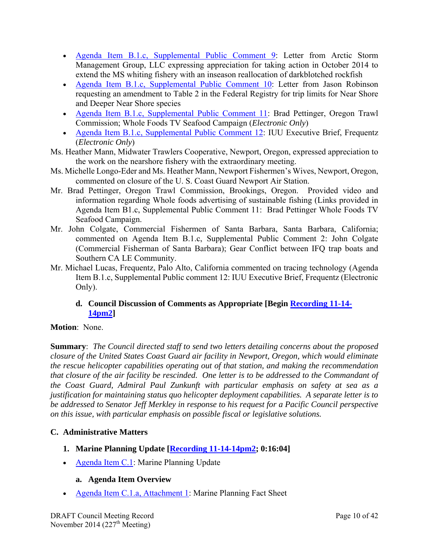- Agenda Item B.1.c, Supplemental Public Comment 9: Letter from Arctic Storm Management Group, LLC expressing appreciation for taking action in October 2014 to extend the MS whiting fishery with an inseason reallocation of darkblotched rockfish
- Agenda Item B.1.c, Supplemental Public Comment 10: Letter from Jason Robinson requesting an amendment to Table 2 in the Federal Registry for trip limits for Near Shore and Deeper Near Shore species
- Agenda Item B.1.c, Supplemental Public Comment 11: Brad Pettinger, Oregon Trawl Commission; Whole Foods TV Seafood Campaign (*Electronic Only*)
- Agenda Item B.1.c, Supplemental Public Comment 12: IUU Executive Brief, Frequentz (*Electronic Only*)
- Ms. Heather Mann, Midwater Trawlers Cooperative, Newport, Oregon, expressed appreciation to the work on the nearshore fishery with the extraordinary meeting.
- Ms. Michelle Longo-Eder and Ms. Heather Mann, Newport Fishermen's Wives, Newport, Oregon, commented on closure of the U. S. Coast Guard Newport Air Station.
- Mr. Brad Pettinger, Oregon Trawl Commission, Brookings, Oregon. Provided video and information regarding Whole foods advertising of sustainable fishing (Links provided in Agenda Item B1.c, Supplemental Public Comment 11: Brad Pettinger Whole Foods TV Seafood Campaign.
- Mr. John Colgate, Commercial Fishermen of Santa Barbara, Santa Barbara, California; commented on Agenda Item B.1.c, Supplemental Public Comment 2: John Colgate (Commercial Fisherman of Santa Barbara); Gear Conflict between IFQ trap boats and Southern CA LE Community.
- Mr. Michael Lucas, Frequentz, Palo Alto, California commented on tracing technology (Agenda Item B.1.c, Supplemental Public comment 12: IUU Executive Brief, Frequentz (Electronic Only).

## **d. Council Discussion of Comments as Appropriate [Begin Recording 11-14- 14pm2]**

## **Motion**: None.

**Summary**: *The Council directed staff to send two letters detailing concerns about the proposed closure of the United States Coast Guard air facility in Newport, Oregon, which would eliminate the rescue helicopter capabilities operating out of that station, and making the recommendation that closure of the air facility be rescinded. One letter is to be addressed to the Commandant of the Coast Guard, Admiral Paul Zunkunft with particular emphasis on safety at sea as a justification for maintaining status quo helicopter deployment capabilities. A separate letter is to be addressed to Senator Jeff Merkley in response to his request for a Pacific Council perspective on this issue, with particular emphasis on possible fiscal or legislative solutions.*

## **C. Administrative Matters**

- **1. Marine Planning Update [Recording 11-14-14pm2; 0:16:04]**
- Agenda Item C.1: Marine Planning Update

## **a. Agenda Item Overview**

• Agenda Item C.1.a, Attachment 1: Marine Planning Fact Sheet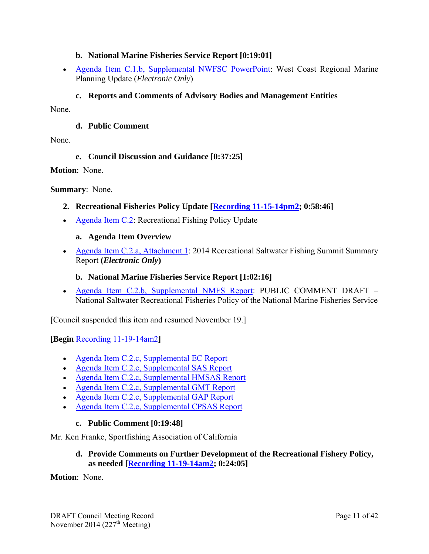### **b. National Marine Fisheries Service Report [0:19:01]**

 Agenda Item C.1.b, Supplemental NWFSC PowerPoint: West Coast Regional Marine Planning Update (*Electronic Only*)

## **c. Reports and Comments of Advisory Bodies and Management Entities**

None.

## **d. Public Comment**

None.

## **e. Council Discussion and Guidance [0:37:25]**

**Motion**: None.

### **Summary**: None.

- **2. Recreational Fisheries Policy Update [Recording 11-15-14pm2; 0:58:46]**
- Agenda Item C.2: Recreational Fishing Policy Update

### **a. Agenda Item Overview**

 Agenda Item C.2.a, Attachment 1: 2014 Recreational Saltwater Fishing Summit Summary Report **(***Electronic Only***)**

### **b. National Marine Fisheries Service Report [1:02:16]**

 Agenda Item C.2.b, Supplemental NMFS Report: PUBLIC COMMENT DRAFT – National Saltwater Recreational Fisheries Policy of the National Marine Fisheries Service

[Council suspended this item and resumed November 19.]

**[Begin** Recording 11-19-14am2**]** 

- Agenda Item C.2.c, Supplemental EC Report
- Agenda Item C.2.c, Supplemental SAS Report
- Agenda Item C.2.c, Supplemental HMSAS Report
- Agenda Item C.2.c, Supplemental GMT Report
- Agenda Item C.2.c, Supplemental GAP Report
- Agenda Item C.2.c, Supplemental CPSAS Report

## **c. Public Comment [0:19:48]**

Mr. Ken Franke, Sportfishing Association of California

## **d. Provide Comments on Further Development of the Recreational Fishery Policy, as needed [Recording 11-19-14am2; 0:24:05]**

**Motion**: None.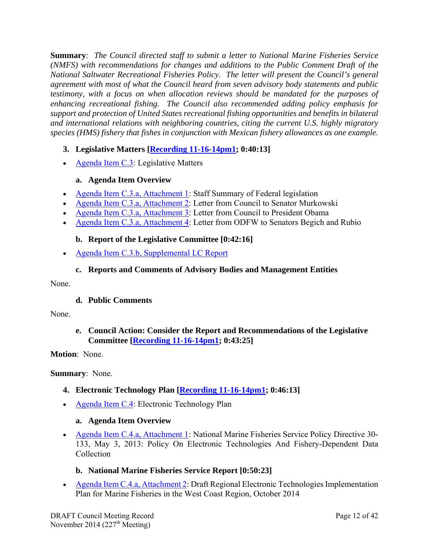**Summary**: *The Council directed staff to submit a letter to National Marine Fisheries Service (NMFS) with recommendations for changes and additions to the Public Comment Draft of the National Saltwater Recreational Fisheries Policy. The letter will present the Council's general agreement with most of what the Council heard from seven advisory body statements and public testimony, with a focus on when allocation reviews should be mandated for the purposes of enhancing recreational fishing. The Council also recommended adding policy emphasis for support and protection of United States recreational fishing opportunities and benefits in bilateral and international relations with neighboring countries, citing the current U.S. highly migratory species (HMS) fishery that fishes in conjunction with Mexican fishery allowances as one example.*

## **3. Legislative Matters [Recording 11-16-14pm1; 0:40:13]**

• Agenda Item  $C.3$ : Legislative Matters

## **a. Agenda Item Overview**

- Agenda Item C.3.a, Attachment 1: Staff Summary of Federal legislation
- Agenda Item C.3.a, Attachment 2: Letter from Council to Senator Murkowski
- Agenda Item C.3.a, Attachment 3: Letter from Council to President Obama
- Agenda Item C.3.a, Attachment 4: Letter from ODFW to Senators Begich and Rubio

## **b. Report of the Legislative Committee [0:42:16]**

• Agenda Item C.3.b, Supplemental LC Report

## **c. Reports and Comments of Advisory Bodies and Management Entities**

#### None.

## **d. Public Comments**

#### None.

**e. Council Action: Consider the Report and Recommendations of the Legislative Committee [Recording 11-16-14pm1; 0:43:25]** 

## **Motion**: None.

**Summary**: None.

## **4. Electronic Technology Plan [Recording 11-16-14pm1; 0:46:13]**

• Agenda Item C.4: Electronic Technology Plan

## **a. Agenda Item Overview**

 Agenda Item C.4.a, Attachment 1: National Marine Fisheries Service Policy Directive 30- 133, May 3, 2013: Policy On Electronic Technologies And Fishery-Dependent Data Collection

## **b. National Marine Fisheries Service Report [0:50:23]**

 Agenda Item C.4.a, Attachment 2: Draft Regional Electronic Technologies Implementation Plan for Marine Fisheries in the West Coast Region, October 2014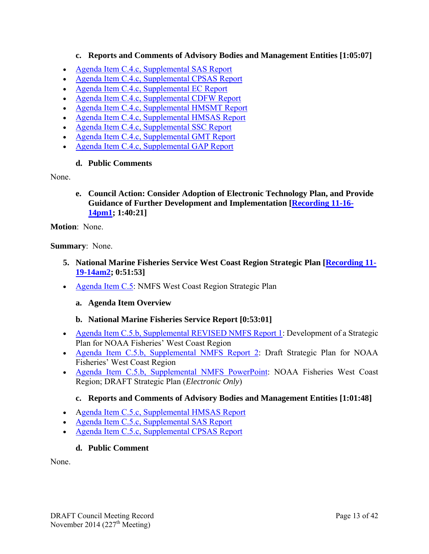### **c. Reports and Comments of Advisory Bodies and Management Entities [1:05:07]**

- Agenda Item C.4.c, Supplemental SAS Report
- Agenda Item C.4.c, Supplemental CPSAS Report
- Agenda Item C.4.c, Supplemental EC Report
- Agenda Item C.4.c, Supplemental CDFW Report
- Agenda Item C.4.c, Supplemental HMSMT Report
- Agenda Item C.4.c, Supplemental HMSAS Report
- Agenda Item C.4.c, Supplemental SSC Report
- Agenda Item C.4.c, Supplemental GMT Report
- Agenda Item C.4.c, Supplemental GAP Report

### **d. Public Comments**

#### None.

**e. Council Action: Consider Adoption of Electronic Technology Plan, and Provide Guidance of Further Development and Implementation [Recording 11-16- 14pm1; 1:40:21]** 

**Motion**: None.

### **Summary**: None.

- **5. National Marine Fisheries Service West Coast Region Strategic Plan [Recording 11- 19-14am2; 0:51:53]**
- Agenda Item C.5: NMFS West Coast Region Strategic Plan
	- **a. Agenda Item Overview**

## **b. National Marine Fisheries Service Report [0:53:01]**

- Agenda Item C.5.b, Supplemental REVISED NMFS Report 1: Development of a Strategic Plan for NOAA Fisheries' West Coast Region
- Agenda Item C.5.b, Supplemental NMFS Report 2: Draft Strategic Plan for NOAA Fisheries' West Coast Region
- Agenda Item C.5.b, Supplemental NMFS PowerPoint: NOAA Fisheries West Coast Region; DRAFT Strategic Plan (*Electronic Only*)

## **c. Reports and Comments of Advisory Bodies and Management Entities [1:01:48]**

- Agenda Item C.5.c, Supplemental HMSAS Report
- Agenda Item C.5.c, Supplemental SAS Report
- Agenda Item C.5.c, Supplemental CPSAS Report

## **d. Public Comment**

None.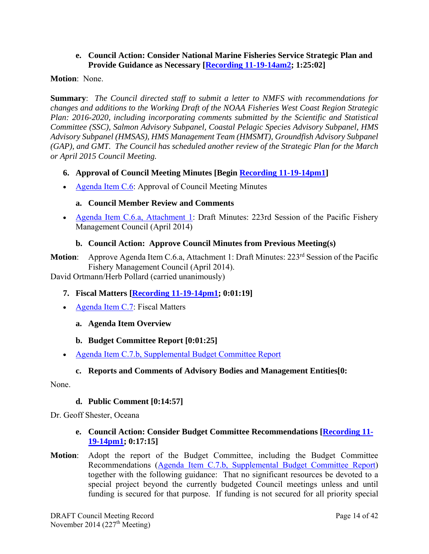#### **e. Council Action: Consider National Marine Fisheries Service Strategic Plan and Provide Guidance as Necessary [Recording 11-19-14am2; 1:25:02]**

### **Motion**: None.

**Summary**: *The Council directed staff to submit a letter to NMFS with recommendations for changes and additions to the Working Draft of the NOAA Fisheries West Coast Region Strategic Plan: 2016-2020, including incorporating comments submitted by the Scientific and Statistical Committee (SSC), Salmon Advisory Subpanel, Coastal Pelagic Species Advisory Subpanel, HMS Advisory Subpanel (HMSAS), HMS Management Team (HMSMT), Groundfish Advisory Subpanel (GAP), and GMT. The Council has scheduled another review of the Strategic Plan for the March or April 2015 Council Meeting.*

- **6. Approval of Council Meeting Minutes [Begin Recording 11-19-14pm1]**
- Agenda Item C.6: Approval of Council Meeting Minutes

### **a. Council Member Review and Comments**

 Agenda Item C.6.a, Attachment 1: Draft Minutes: 223rd Session of the Pacific Fishery Management Council (April 2014)

### **b. Council Action: Approve Council Minutes from Previous Meeting(s)**

Motion: Approve Agenda Item C.6.a, Attachment 1: Draft Minutes: 223<sup>rd</sup> Session of the Pacific Fishery Management Council (April 2014).

David Ortmann/Herb Pollard (carried unanimously)

### **7. Fiscal Matters [Recording 11-19-14pm1; 0:01:19]**

- Agenda Item C.7: Fiscal Matters
	- **a. Agenda Item Overview**
	- **b. Budget Committee Report [0:01:25]**
- Agenda Item C.7.b, Supplemental Budget Committee Report

#### **c. Reports and Comments of Advisory Bodies and Management Entities[0:**

None.

## **d. Public Comment [0:14:57]**

Dr. Geoff Shester, Oceana

### **e. Council Action: Consider Budget Committee Recommendations [Recording 11- 19-14pm1; 0:17:15]**

**Motion**: Adopt the report of the Budget Committee, including the Budget Committee Recommendations (Agenda Item C.7.b, Supplemental Budget Committee Report) together with the following guidance: That no significant resources be devoted to a special project beyond the currently budgeted Council meetings unless and until funding is secured for that purpose. If funding is not secured for all priority special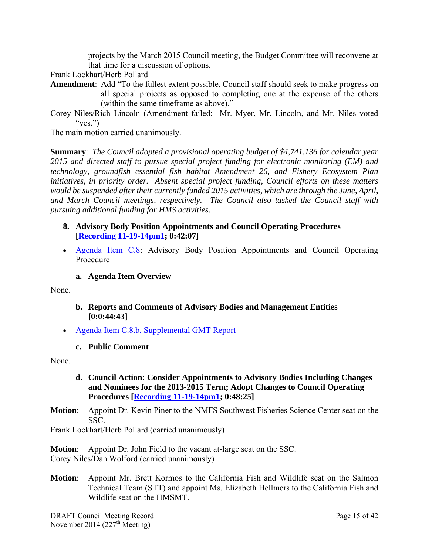projects by the March 2015 Council meeting, the Budget Committee will reconvene at that time for a discussion of options.

Frank Lockhart/Herb Pollard

- **Amendment**: Add "To the fullest extent possible, Council staff should seek to make progress on all special projects as opposed to completing one at the expense of the others (within the same timeframe as above)."
- Corey Niles/Rich Lincoln (Amendment failed: Mr. Myer, Mr. Lincoln, and Mr. Niles voted "yes.")

The main motion carried unanimously.

**Summary**: *The Council adopted a provisional operating budget of \$4,741,136 for calendar year 2015 and directed staff to pursue special project funding for electronic monitoring (EM) and technology, groundfish essential fish habitat Amendment 26, and Fishery Ecosystem Plan initiatives, in priority order. Absent special project funding, Council efforts on these matters would be suspended after their currently funded 2015 activities, which are through the June, April, and March Council meetings, respectively. The Council also tasked the Council staff with pursuing additional funding for HMS activities.*

- **8. Advisory Body Position Appointments and Council Operating Procedures [Recording 11-19-14pm1; 0:42:07]**
- Agenda Item C.8: Advisory Body Position Appointments and Council Operating Procedure
	- **a. Agenda Item Overview**

None.

- **b. Reports and Comments of Advisory Bodies and Management Entities [0:0:44:43]**
- Agenda Item C.8.b, Supplemental GMT Report
	- **c. Public Comment**

None.

- **d. Council Action: Consider Appointments to Advisory Bodies Including Changes and Nominees for the 2013-2015 Term; Adopt Changes to Council Operating Procedures [Recording 11-19-14pm1; 0:48:25]**
- **Motion**: Appoint Dr. Kevin Piner to the NMFS Southwest Fisheries Science Center seat on the SSC.

Frank Lockhart/Herb Pollard (carried unanimously)

**Motion**: Appoint Dr. John Field to the vacant at-large seat on the SSC. Corey Niles/Dan Wolford (carried unanimously)

**Motion**: Appoint Mr. Brett Kormos to the California Fish and Wildlife seat on the Salmon Technical Team (STT) and appoint Ms. Elizabeth Hellmers to the California Fish and Wildlife seat on the HMSMT.

DRAFT Council Meeting Record Page 15 of 42 November 2014 (227<sup>th</sup> Meeting)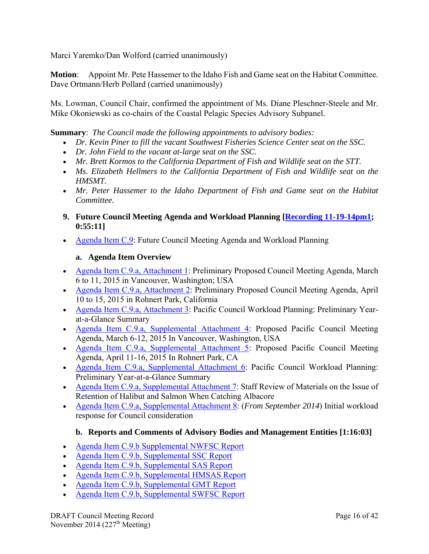Marci Yaremko/Dan Wolford (carried unanimously)

**Motion**: Appoint Mr. Pete Hassemer to the Idaho Fish and Game seat on the Habitat Committee. Dave Ortmann/Herb Pollard (carried unanimously)

Ms. Lowman, Council Chair, confirmed the appointment of Ms. Diane Pleschner-Steele and Mr. Mike Okoniewski as co-chairs of the Coastal Pelagic Species Advisory Subpanel.

**Summary**: *The Council made the following appointments to advisory bodies:* 

- *Dr. Kevin Piner to fill the vacant Southwest Fisheries Science Center seat on the SSC.*
- *Dr. John Field to the vacant at-large seat on the SSC.*
- *Mr. Brett Kormos to the California Department of Fish and Wildlife seat on the STT.*
- Ms. Elizabeth Hellmers to the California Department of Fish and Wildlife seat on the *HMSMT.*
- *Mr. Peter Hassemer to the Idaho Department of Fish and Game seat on the Habitat Committee.*
- **9. Future Council Meeting Agenda and Workload Planning [Recording 11-19-14pm1; 0:55:11]**
- Agenda Item C.9: Future Council Meeting Agenda and Workload Planning

#### **a. Agenda Item Overview**

- Agenda Item C.9.a, Attachment 1: Preliminary Proposed Council Meeting Agenda, March 6 to 11, 2015 in Vancouver, Washington; USA
- Agenda Item C.9.a, Attachment 2: Preliminary Proposed Council Meeting Agenda, April 10 to 15, 2015 in Rohnert Park, California
- Agenda Item C.9.a, Attachment 3: Pacific Council Workload Planning: Preliminary Yearat-a-Glance Summary
- Agenda Item C.9.a, Supplemental Attachment 4: Proposed Pacific Council Meeting Agenda, March 6-12, 2015 In Vancouver, Washington, USA
- Agenda Item C.9.a, Supplemental Attachment 5: Proposed Pacific Council Meeting Agenda, April 11-16, 2015 In Rohnert Park, CA
- Agenda Item C.9.a, Supplemental Attachment 6: Pacific Council Workload Planning: Preliminary Year-at-a-Glance Summary
- Agenda Item C.9.a, Supplemental Attachment 7: Staff Review of Materials on the Issue of Retention of Halibut and Salmon When Catching Albacore
- Agenda Item C.9.a, Supplemental Attachment 8: (*From September 2014*) Initial workload response for Council consideration

#### **b. Reports and Comments of Advisory Bodies and Management Entities [1:16:03]**

- Agenda Item C.9.b Supplemental NWFSC Report
- Agenda Item C.9.b, Supplemental SSC Report
- Agenda Item C.9.b, Supplemental SAS Report
- Agenda Item C.9.b, Supplemental HMSAS Report
- Agenda Item C.9.b, Supplemental GMT Report
- Agenda Item C.9.b, Supplemental SWFSC Report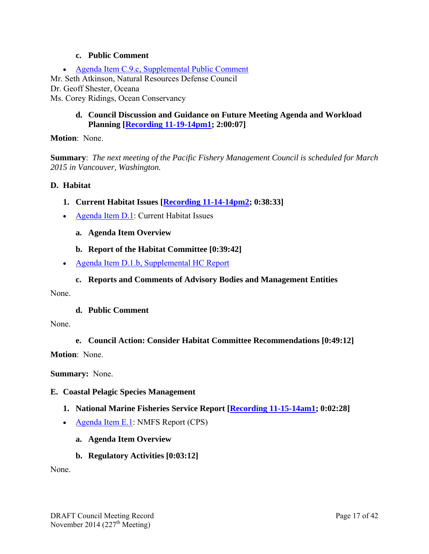#### **c. Public Comment**

 Agenda Item C.9.c, Supplemental Public Comment Mr. Seth Atkinson, Natural Resources Defense Council Dr. Geoff Shester, Oceana Ms. Corey Ridings, Ocean Conservancy

## **d. Council Discussion and Guidance on Future Meeting Agenda and Workload Planning [Recording 11-19-14pm1; 2:00:07]**

**Motion**: None.

**Summary**: *The next meeting of the Pacific Fishery Management Council is scheduled for March 2015 in Vancouver, Washington.*

#### **D. Habitat**

- **1. Current Habitat Issues [Recording 11-14-14pm2; 0:38:33]**
- Agenda Item D.1: Current Habitat Issues
	- **a. Agenda Item Overview**
	- **b. Report of the Habitat Committee [0:39:42]**
- Agenda Item D.1.b, Supplemental HC Report
	- **c. Reports and Comments of Advisory Bodies and Management Entities**

None.

**d. Public Comment** 

None.

#### **e. Council Action: Consider Habitat Committee Recommendations [0:49:12]**

**Motion**: None.

**Summary:** None.

#### **E. Coastal Pelagic Species Management**

- **1. National Marine Fisheries Service Report [Recording 11-15-14am1; 0:02:28]**
- Agenda Item E.1: NMFS Report (CPS)
	- **a. Agenda Item Overview**
	- **b. Regulatory Activities [0:03:12]**

None.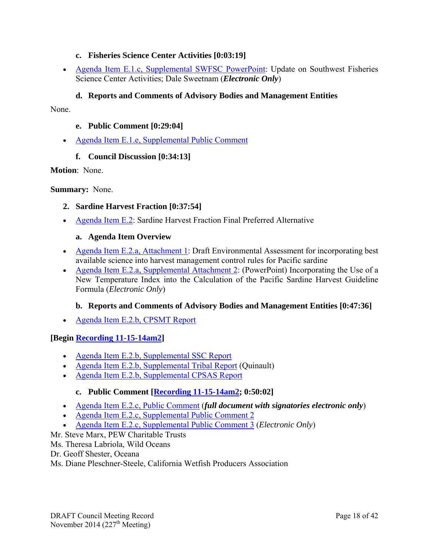### **c. Fisheries Science Center Activities [0:03:19]**

 Agenda Item E.1.c, Supplemental SWFSC PowerPoint: Update on Southwest Fisheries Science Center Activities; Dale Sweetnam (*Electronic Only*)

### **d. Reports and Comments of Advisory Bodies and Management Entities**

None.

### **e. Public Comment [0:29:04]**

• Agenda Item E.1.e, Supplemental Public Comment

## **f. Council Discussion [0:34:13]**

**Motion**: None.

#### **Summary:** None.

### **2. Sardine Harvest Fraction [0:37:54]**

• Agenda Item E.2: Sardine Harvest Fraction Final Preferred Alternative

#### **a. Agenda Item Overview**

- Agenda Item E.2.a, Attachment 1: Draft Environmental Assessment for incorporating best available science into harvest management control rules for Pacific sardine
- Agenda Item E.2.a, Supplemental Attachment 2: (PowerPoint) Incorporating the Use of a New Temperature Index into the Calculation of the Pacific Sardine Harvest Guideline Formula (*Electronic Only*)

## **b. Reports and Comments of Advisory Bodies and Management Entities [0:47:36]**

• Agenda Item E.2.b, CPSMT Report

## **[Begin Recording 11-15-14am2]**

- Agenda Item E.2.b, Supplemental SSC Report
- Agenda Item E.2.b, Supplemental Tribal Report (Quinault)
- Agenda Item E.2.b, Supplemental CPSAS Report

## **c. Public Comment [Recording 11-15-14am2; 0:50:02]**

- Agenda Item E.2.c, Public Comment (*full document with signatories electronic only*)
- Agenda Item E.2.c, Supplemental Public Comment 2
- Agenda Item E.2.c, Supplemental Public Comment 3 (*Electronic Only*)

Mr. Steve Marx, PEW Charitable Trusts

Ms. Theresa Labriola, Wild Oceans

Dr. Geoff Shester, Oceana

Ms. Diane Pleschner-Steele, California Wetfish Producers Association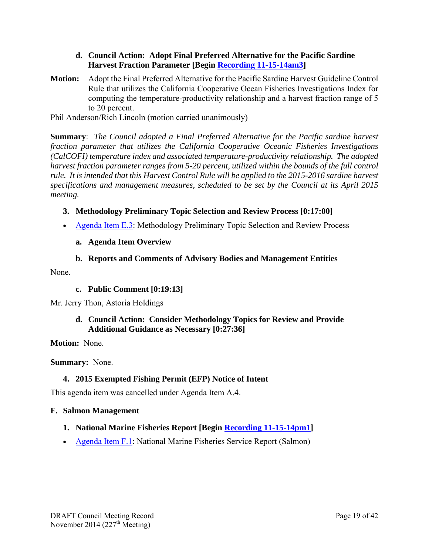#### **d. Council Action: Adopt Final Preferred Alternative for the Pacific Sardine Harvest Fraction Parameter [Begin Recording 11-15-14am3]**

**Motion:** Adopt the Final Preferred Alternative for the Pacific Sardine Harvest Guideline Control Rule that utilizes the California Cooperative Ocean Fisheries Investigations Index for computing the temperature-productivity relationship and a harvest fraction range of 5 to 20 percent.

Phil Anderson/Rich Lincoln (motion carried unanimously)

**Summary**: *The Council adopted a Final Preferred Alternative for the Pacific sardine harvest fraction parameter that utilizes the California Cooperative Oceanic Fisheries Investigations (CalCOFI) temperature index and associated temperature-productivity relationship. The adopted harvest fraction parameter ranges from 5-20 percent, utilized within the bounds of the full control rule. It is intended that this Harvest Control Rule will be applied to the 2015-2016 sardine harvest specifications and management measures, scheduled to be set by the Council at its April 2015 meeting.*

### **3. Methodology Preliminary Topic Selection and Review Process [0:17:00]**

- Agenda Item E.3: Methodology Preliminary Topic Selection and Review Process
	- **a. Agenda Item Overview**

#### **b. Reports and Comments of Advisory Bodies and Management Entities**

None.

**c. Public Comment [0:19:13]** 

#### Mr. Jerry Thon, Astoria Holdings

### **d. Council Action: Consider Methodology Topics for Review and Provide Additional Guidance as Necessary [0:27:36]**

**Motion:** None.

**Summary:** None.

#### **4. 2015 Exempted Fishing Permit (EFP) Notice of Intent**

This agenda item was cancelled under Agenda Item A.4.

#### **F. Salmon Management**

#### **1. National Marine Fisheries Report [Begin Recording 11-15-14pm1]**

• Agenda Item F.1: National Marine Fisheries Service Report (Salmon)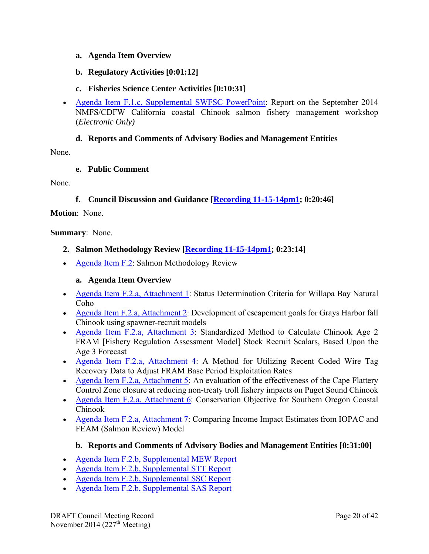#### **a. Agenda Item Overview**

**b. Regulatory Activities [0:01:12]** 

### **c. Fisheries Science Center Activities [0:10:31]**

 Agenda Item F.1.c, Supplemental SWFSC PowerPoint: Report on the September 2014 NMFS/CDFW California coastal Chinook salmon fishery management workshop (*Electronic Only)*

### **d. Reports and Comments of Advisory Bodies and Management Entities**

None.

### **e. Public Comment**

None.

### **f. Council Discussion and Guidance [Recording 11-15-14pm1; 0:20:46]**

**Motion**: None.

#### **Summary**: None.

### **2. Salmon Methodology Review [Recording 11-15-14pm1; 0:23:14]**

• Agenda Item F.2: Salmon Methodology Review

#### **a. Agenda Item Overview**

- Agenda Item F.2.a, Attachment 1: Status Determination Criteria for Willapa Bay Natural Coho
- Agenda Item F.2.a, Attachment 2: Development of escapement goals for Grays Harbor fall Chinook using spawner-recruit models
- Agenda Item F.2.a, Attachment 3: Standardized Method to Calculate Chinook Age 2 FRAM [Fishery Regulation Assessment Model] Stock Recruit Scalars, Based Upon the Age 3 Forecast
- Agenda Item F.2.a, Attachment 4: A Method for Utilizing Recent Coded Wire Tag Recovery Data to Adjust FRAM Base Period Exploitation Rates
- Agenda Item F.2.a, Attachment 5: An evaluation of the effectiveness of the Cape Flattery Control Zone closure at reducing non-treaty troll fishery impacts on Puget Sound Chinook
- Agenda Item F.2.a, Attachment 6: Conservation Objective for Southern Oregon Coastal Chinook
- Agenda Item F.2.a, Attachment 7: Comparing Income Impact Estimates from IOPAC and FEAM (Salmon Review) Model

#### **b. Reports and Comments of Advisory Bodies and Management Entities [0:31:00]**

- Agenda Item F.2.b, Supplemental MEW Report
- Agenda Item F.2.b, Supplemental STT Report
- Agenda Item F.2.b, Supplemental SSC Report
- Agenda Item F.2.b, Supplemental SAS Report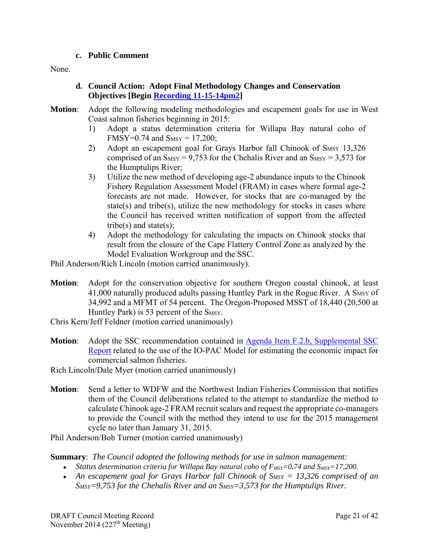#### **c. Public Comment**

None.

- **d. Council Action: Adopt Final Methodology Changes and Conservation Objectives [Begin Recording 11-15-14pm2]**
- **Motion**: Adopt the following modeling methodologies and escapement goals for use in West Coast salmon fisheries beginning in 2015:
	- 1) Adopt a status determination criteria for Willapa Bay natural coho of FMSY=0.74 and  $S_{MSY} = 17,200$ ;
	- 2) Adopt an escapement goal for Grays Harbor fall Chinook of S<sub>MSY</sub> 13,326 comprised of an  $S_{MSY} = 9,753$  for the Chehalis River and an  $S_{MSY} = 3,573$  for the Humptulips River;
	- 3) Utilize the new method of developing age-2 abundance inputs to the Chinook Fishery Regulation Assessment Model (FRAM) in cases where formal age-2 forecasts are not made. However, for stocks that are co-managed by the state(s) and tribe(s), utilize the new methodology for stocks in cases where the Council has received written notification of support from the affected tribe(s) and state(s);
	- 4) Adopt the methodology for calculating the impacts on Chinook stocks that result from the closure of the Cape Flattery Control Zone as analyzed by the Model Evaluation Workgroup and the SSC.

Phil Anderson/Rich Lincoln (motion carried unanimously).

- **Motion**: Adopt for the conservation objective for southern Oregon coastal chinook, at least 41,000 naturally produced adults passing Huntley Park in the Rogue River. A S<sub>MSY</sub> of 34,992 and a MFMT of 54 percent. The Oregon-Proposed MSST of 18,440 (20,500 at Huntley Park) is 53 percent of the S<sub>MSY</sub>.
- Chris Kern/Jeff Feldner (motion carried unanimously)
- **Motion**: Adopt the SSC recommendation contained in Agenda Item F.2.b, Supplemental SSC Report related to the use of the IO-PAC Model for estimating the economic impact for commercial salmon fisheries.

Rich Lincoln/Dale Myer (motion carried unanimously)

**Motion**: Send a letter to WDFW and the Northwest Indian Fisheries Commission that notifies them of the Council deliberations related to the attempt to standardize the method to calculate Chinook age-2 FRAM recruit scalars and request the appropriate co-managers to provide the Council with the method they intend to use for the 2015 management cycle no later than January 31, 2015.

Phil Anderson/Bob Turner (motion carried unanimously)

**Summary**: *The Council adopted the following methods for use in salmon management:*

- *Status determination criteria for Willapa Bay natural coho of*  $F_{MSV}=0.74$  *and*  $S_{MSV}=17,200$ *.*
- An escapement goal for Grays Harbor fall Chinook of S<sub>MSY</sub> = 13,326 comprised of an *SMSY=9,753 for the Chehalis River and an SMSY=3,573 for the Humptulips River.*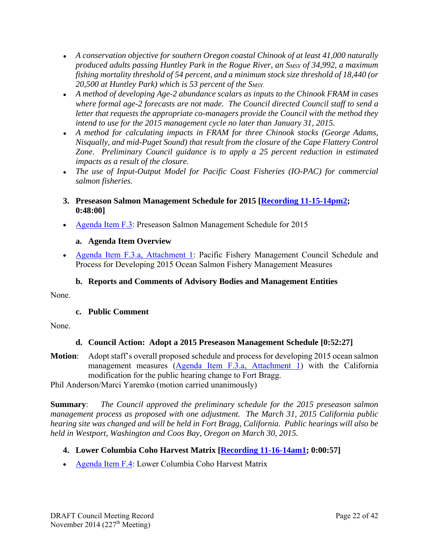- *A conservation objective for southern Oregon coastal Chinook of at least 41,000 naturally produced adults passing Huntley Park in the Rogue River, an SMSY of 34,992, a maximum fishing mortality threshold of 54 percent, and a minimum stock size threshold of 18,440 (or 20,500 at Huntley Park) which is 53 percent of the SMSY.*
- *A method of developing Age-2 abundance scalars as inputs to the Chinook FRAM in cases where formal age-2 forecasts are not made. The Council directed Council staff to send a letter that requests the appropriate co-managers provide the Council with the method they intend to use for the 2015 management cycle no later than January 31, 2015.*
- A method for calculating impacts in FRAM for three Chinook stocks (George Adams, *Nisqually, and mid-Puget Sound) that result from the closure of the Cape Flattery Control Zone. Preliminary Council guidance is to apply a 25 percent reduction in estimated impacts as a result of the closure.*
- *The use of Input-Output Model for Pacific Coast Fisheries (IO-PAC) for commercial salmon fisheries.*

## **3. Preseason Salmon Management Schedule for 2015 [Recording 11-15-14pm2; 0:48:00]**

• Agenda Item F.3: Preseason Salmon Management Schedule for 2015

## **a. Agenda Item Overview**

 Agenda Item F.3.a, Attachment 1: Pacific Fishery Management Council Schedule and Process for Developing 2015 Ocean Salmon Fishery Management Measures

## **b. Reports and Comments of Advisory Bodies and Management Entities**

None.

## **c. Public Comment**

## None.

## **d. Council Action: Adopt a 2015 Preseason Management Schedule [0:52:27]**

**Motion**: Adopt staff's overall proposed schedule and process for developing 2015 ocean salmon management measures (Agenda Item F.3.a, Attachment 1) with the California modification for the public hearing change to Fort Bragg.

Phil Anderson/Marci Yaremko (motion carried unanimously)

**Summary**: *The Council approved the preliminary schedule for the 2015 preseason salmon management process as proposed with one adjustment. The March 31, 2015 California public hearing site was changed and will be held in Fort Bragg, California. Public hearings will also be held in Westport, Washington and Coos Bay, Oregon on March 30, 2015.* 

## **4. Lower Columbia Coho Harvest Matrix [Recording 11-16-14am1; 0:00:57]**

• Agenda Item F.4: Lower Columbia Coho Harvest Matrix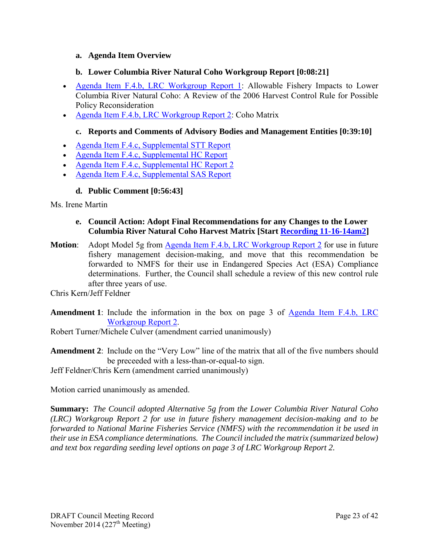### **a. Agenda Item Overview**

#### **b. Lower Columbia River Natural Coho Workgroup Report [0:08:21]**

- Agenda Item F.4.b, LRC Workgroup Report 1: Allowable Fishery Impacts to Lower Columbia River Natural Coho: A Review of the 2006 Harvest Control Rule for Possible Policy Reconsideration
- Agenda Item F.4.b, LRC Workgroup Report 2: Coho Matrix

## **c. Reports and Comments of Advisory Bodies and Management Entities [0:39:10]**

- Agenda Item F.4.c, Supplemental STT Report
- Agenda Item F.4.c, Supplemental HC Report
- Agenda Item F.4.c, Supplemental HC Report 2
- Agenda Item F.4.c, Supplemental SAS Report

## **d. Public Comment [0:56:43]**

Ms. Irene Martin

### **e. Council Action: Adopt Final Recommendations for any Changes to the Lower Columbia River Natural Coho Harvest Matrix [Start Recording 11-16-14am2]**

**Motion**: Adopt Model 5g from **Agenda Item F.4.b, LRC Workgroup Report 2** for use in future fishery management decision-making, and move that this recommendation be forwarded to NMFS for their use in Endangered Species Act (ESA) Compliance determinations. Further, the Council shall schedule a review of this new control rule after three years of use.

Chris Kern/Jeff Feldner

**Amendment 1**: Include the information in the box on page 3 of Agenda Item F.4.b, LRC Workgroup Report 2.

Robert Turner/Michele Culver (amendment carried unanimously)

**Amendment 2**: Include on the "Very Low" line of the matrix that all of the five numbers should be preceeded with a less-than-or-equal-to sign.

Jeff Feldner/Chris Kern (amendment carried unanimously)

Motion carried unanimously as amended.

**Summary:** *The Council adopted Alternative 5g from the Lower Columbia River Natural Coho (LRC) Workgroup Report 2 for use in future fishery management decision-making and to be forwarded to National Marine Fisheries Service (NMFS) with the recommendation it be used in their use in ESA compliance determinations. The Council included the matrix (summarized below) and text box regarding seeding level options on page 3 of LRC Workgroup Report 2.*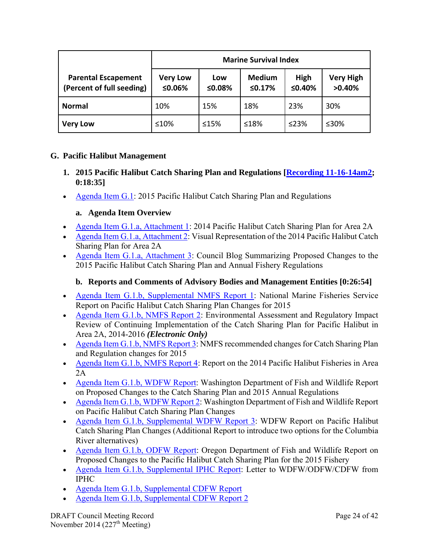|                                                         |                           |               | <b>Marine Survival Index</b> |                |                            |
|---------------------------------------------------------|---------------------------|---------------|------------------------------|----------------|----------------------------|
| <b>Parental Escapement</b><br>(Percent of full seeding) | <b>Very Low</b><br>≤0.06% | Low<br>≤0.08% | <b>Medium</b><br>50.17%      | High<br>≤0.40% | <b>Very High</b><br>>0.40% |
| <b>Normal</b>                                           | 10%                       | 15%           | 18%                          | 23%            | 30%                        |
| <b>Very Low</b>                                         | ≤10%                      | ≤15%          | ≤18%                         | $\leq$ 23%     | ≤30%                       |

## **G. Pacific Halibut Management**

- **1. 2015 Pacific Halibut Catch Sharing Plan and Regulations [Recording 11-16-14am2; 0:18:35]**
- Agenda Item G.1: 2015 Pacific Halibut Catch Sharing Plan and Regulations

### **a. Agenda Item Overview**

- Agenda Item G.1.a, Attachment 1: 2014 Pacific Halibut Catch Sharing Plan for Area 2A
- Agenda Item G.1.a, Attachment 2: Visual Representation of the 2014 Pacific Halibut Catch Sharing Plan for Area 2A
- Agenda Item G.1.a, Attachment 3: Council Blog Summarizing Proposed Changes to the 2015 Pacific Halibut Catch Sharing Plan and Annual Fishery Regulations

## **b. Reports and Comments of Advisory Bodies and Management Entities [0:26:54]**

- Agenda Item G.1.b, Supplemental NMFS Report 1: National Marine Fisheries Service Report on Pacific Halibut Catch Sharing Plan Changes for 2015
- Agenda Item G.1.b, NMFS Report 2: Environmental Assessment and Regulatory Impact Review of Continuing Implementation of the Catch Sharing Plan for Pacific Halibut in Area 2A, 2014-2016 *(Electronic Only)*
- Agenda Item G.1.b, NMFS Report 3: NMFS recommended changes for Catch Sharing Plan and Regulation changes for 2015
- Agenda Item G.1.b, NMFS Report 4: Report on the 2014 Pacific Halibut Fisheries in Area 2A
- Agenda Item G.1.b, WDFW Report: Washington Department of Fish and Wildlife Report on Proposed Changes to the Catch Sharing Plan and 2015 Annual Regulations
- Agenda Item G.1.b, WDFW Report 2: Washington Department of Fish and Wildlife Report on Pacific Halibut Catch Sharing Plan Changes
- Agenda Item G.1.b, Supplemental WDFW Report 3: WDFW Report on Pacific Halibut Catch Sharing Plan Changes (Additional Report to introduce two options for the Columbia River alternatives)
- Agenda Item G.1.b, ODFW Report: Oregon Department of Fish and Wildlife Report on Proposed Changes to the Pacific Halibut Catch Sharing Plan for the 2015 Fishery
- Agenda Item G.1.b, Supplemental IPHC Report: Letter to WDFW/ODFW/CDFW from IPHC
- Agenda Item G.1.b, Supplemental CDFW Report
- Agenda Item G.1.b, Supplemental CDFW Report 2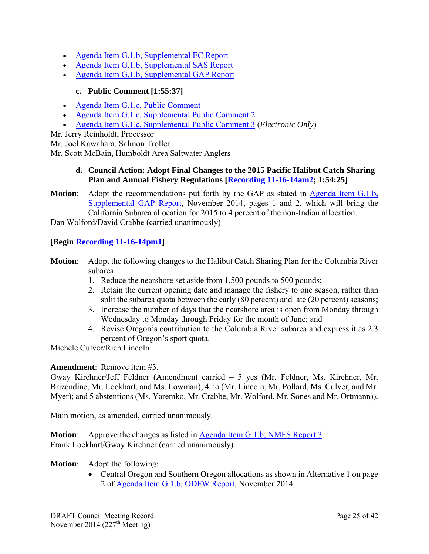- Agenda Item G.1.b, Supplemental EC Report
- Agenda Item G.1.b, Supplemental SAS Report
- Agenda Item G.1.b, Supplemental GAP Report

## **c. Public Comment [1:55:37]**

- Agenda Item G.1.c, Public Comment
- Agenda Item G.1.c, Supplemental Public Comment 2
- Agenda Item G.1.c, Supplemental Public Comment 3 (*Electronic Only*)

Mr. Jerry Reinholdt, Processor

Mr. Joel Kawahara, Salmon Troller

Mr. Scott McBain, Humboldt Area Saltwater Anglers

#### **d. Council Action: Adopt Final Changes to the 2015 Pacific Halibut Catch Sharing Plan and Annual Fishery Regulations [Recording 11-16-14am2; 1:54:25]**

**Motion**: Adopt the recommendations put forth by the GAP as stated in Agenda Item G.1.b, Supplemental GAP Report, November 2014, pages 1 and 2, which will bring the California Subarea allocation for 2015 to 4 percent of the non-Indian allocation.

Dan Wolford/David Crabbe (carried unanimously)

## **[Begin Recording 11-16-14pm1]**

- **Motion**: Adopt the following changes to the Halibut Catch Sharing Plan for the Columbia River subarea:
	- 1. Reduce the nearshore set aside from 1,500 pounds to 500 pounds;
	- 2. Retain the current opening date and manage the fishery to one season, rather than split the subarea quota between the early (80 percent) and late (20 percent) seasons;
	- 3. Increase the number of days that the nearshore area is open from Monday through Wednesday to Monday through Friday for the month of June; and
	- 4. Revise Oregon's contribution to the Columbia River subarea and express it as 2.3 percent of Oregon's sport quota.

Michele Culver/Rich Lincoln

#### **Amendment**: Remove item #3.

Gway Kirchner/Jeff Feldner (Amendment carried – 5 yes (Mr. Feldner, Ms. Kirchner, Mr. Brizendine, Mr. Lockhart, and Ms. Lowman); 4 no (Mr. Lincoln, Mr. Pollard, Ms. Culver, and Mr. Myer); and 5 abstentions (Ms. Yaremko, Mr. Crabbe, Mr. Wolford, Mr. Sones and Mr. Ortmann)).

Main motion, as amended, carried unanimously.

**Motion**: Approve the changes as listed in Agenda Item G.1.b, NMFS Report 3. Frank Lockhart/Gway Kirchner (carried unanimously)

#### **Motion**: Adopt the following:

• Central Oregon and Southern Oregon allocations as shown in Alternative 1 on page 2 of Agenda Item G.1.b, ODFW Report, November 2014.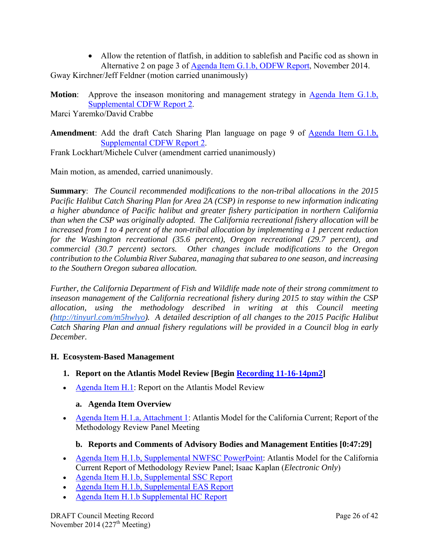Allow the retention of flatfish, in addition to sablefish and Pacific cod as shown in Alternative 2 on page 3 of Agenda Item G.1.b, ODFW Report, November 2014.

Gway Kirchner/Jeff Feldner (motion carried unanimously)

**Motion**: Approve the inseason monitoring and management strategy in Agenda Item G.1.b, Supplemental CDFW Report 2.

Marci Yaremko/David Crabbe

**Amendment**: Add the draft Catch Sharing Plan language on page 9 of Agenda Item G.1.b, Supplemental CDFW Report 2.

Frank Lockhart/Michele Culver (amendment carried unanimously)

Main motion, as amended, carried unanimously.

**Summary**: *The Council recommended modifications to the non-tribal allocations in the 2015 Pacific Halibut Catch Sharing Plan for Area 2A (CSP) in response to new information indicating a higher abundance of Pacific halibut and greater fishery participation in northern California than when the CSP was originally adopted. The California recreational fishery allocation will be increased from 1 to 4 percent of the non-tribal allocation by implementing a 1 percent reduction for the Washington recreational (35.6 percent), Oregon recreational (29.7 percent), and commercial (30.7 percent) sectors. Other changes include modifications to the Oregon contribution to the Columbia River Subarea, managing that subarea to one season, and increasing to the Southern Oregon subarea allocation.* 

*Further, the California Department of Fish and Wildlife made note of their strong commitment to inseason management of the California recreational fishery during 2015 to stay within the CSP allocation, using the methodology described in writing at this Council meeting (http://tinyurl.com/m5hwlyo). A detailed description of all changes to the 2015 Pacific Halibut Catch Sharing Plan and annual fishery regulations will be provided in a Council blog in early December.* 

## **H. Ecosystem-Based Management**

## **1. Report on the Atlantis Model Review [Begin Recording 11-16-14pm2]**

• Agenda Item  $H.1$ : Report on the Atlantis Model Review

## **a. Agenda Item Overview**

• Agenda Item H.1.a, Attachment 1: Atlantis Model for the California Current; Report of the Methodology Review Panel Meeting

## **b. Reports and Comments of Advisory Bodies and Management Entities [0:47:29]**

- Agenda Item H.1.b, Supplemental NWFSC PowerPoint: Atlantis Model for the California Current Report of Methodology Review Panel; Isaac Kaplan (*Electronic Only*)
- Agenda Item H.1.b, Supplemental SSC Report
- Agenda Item H.1.b, Supplemental EAS Report
- Agenda Item H.1.b Supplemental HC Report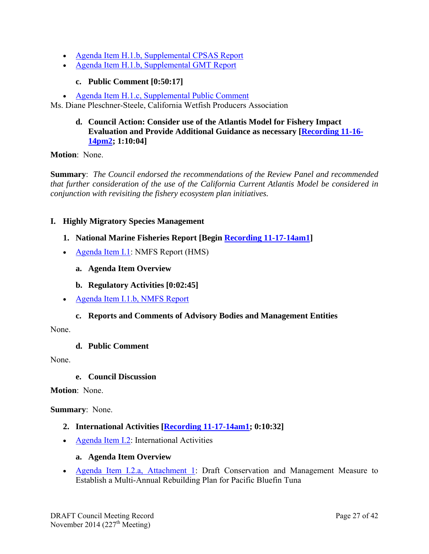- Agenda Item H.1.b, Supplemental CPSAS Report
- Agenda Item H.1.b, Supplemental GMT Report

### **c. Public Comment [0:50:17]**

• Agenda Item H.1.c, Supplemental Public Comment

Ms. Diane Pleschner-Steele, California Wetfish Producers Association

### **d. Council Action: Consider use of the Atlantis Model for Fishery Impact Evaluation and Provide Additional Guidance as necessary [Recording 11-16- 14pm2; 1:10:04]**

#### **Motion**: None.

**Summary**: *The Council endorsed the recommendations of the Review Panel and recommended that further consideration of the use of the California Current Atlantis Model be considered in conjunction with revisiting the fishery ecosystem plan initiatives.* 

### **I. Highly Migratory Species Management**

- **1. National Marine Fisheries Report [Begin Recording 11-17-14am1]**
- Agenda Item I.1: NMFS Report (HMS)
	- **a. Agenda Item Overview**
	- **b. Regulatory Activities [0:02:45]**
- Agenda Item I.1.b, NMFS Report

## **c. Reports and Comments of Advisory Bodies and Management Entities**

None.

#### **d. Public Comment**

None.

#### **e. Council Discussion**

**Motion**: None.

**Summary**: None.

- **2. International Activities [Recording 11-17-14am1; 0:10:32]**
- Agenda Item I.2: International Activities

#### **a. Agenda Item Overview**

 Agenda Item I.2.a, Attachment 1: Draft Conservation and Management Measure to Establish a Multi-Annual Rebuilding Plan for Pacific Bluefin Tuna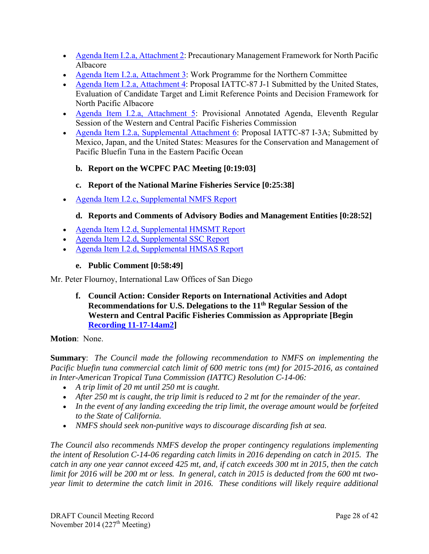- Agenda Item I.2.a, Attachment 2: Precautionary Management Framework for North Pacific Albacore
- Agenda Item I.2.a, Attachment 3: Work Programme for the Northern Committee
- Agenda Item I.2.a, Attachment 4: Proposal IATTC-87 J-1 Submitted by the United States, Evaluation of Candidate Target and Limit Reference Points and Decision Framework for North Pacific Albacore
- Agenda Item I.2.a, Attachment 5: Provisional Annotated Agenda, Eleventh Regular Session of the Western and Central Pacific Fisheries Commission
- Agenda Item I.2.a, Supplemental Attachment 6: Proposal IATTC-87 I-3A; Submitted by Mexico, Japan, and the United States: Measures for the Conservation and Management of Pacific Bluefin Tuna in the Eastern Pacific Ocean

## **b. Report on the WCPFC PAC Meeting [0:19:03]**

## **c. Report of the National Marine Fisheries Service [0:25:38]**

• Agenda Item I.2.c, Supplemental NMFS Report

## **d. Reports and Comments of Advisory Bodies and Management Entities [0:28:52]**

- Agenda Item I.2.d, Supplemental HMSMT Report
- Agenda Item I.2.d, Supplemental SSC Report
- Agenda Item I.2.d, Supplemental HMSAS Report

## **e. Public Comment [0:58:49]**

Mr. Peter Flournoy, International Law Offices of San Diego

**f. Council Action: Consider Reports on International Activities and Adopt Recommendations for U.S. Delegations to the 11th Regular Session of the Western and Central Pacific Fisheries Commission as Appropriate [Begin Recording 11-17-14am2]** 

## **Motion**: None.

**Summary**: *The Council made the following recommendation to NMFS on implementing the Pacific bluefin tuna commercial catch limit of 600 metric tons (mt) for 2015-2016, as contained in Inter-American Tropical Tuna Commission (IATTC) Resolution C-14-06:* 

- *A trip limit of 20 mt until 250 mt is caught.*
- *After 250 mt is caught, the trip limit is reduced to 2 mt for the remainder of the year.*
- *In the event of any landing exceeding the trip limit, the overage amount would be forfeited to the State of California.*
- *NMFS should seek non-punitive ways to discourage discarding fish at sea.*

*The Council also recommends NMFS develop the proper contingency regulations implementing the intent of Resolution C-14-06 regarding catch limits in 2016 depending on catch in 2015. The catch in any one year cannot exceed 425 mt, and, if catch exceeds 300 mt in 2015, then the catch limit for 2016 will be 200 mt or less. In general, catch in 2015 is deducted from the 600 mt twoyear limit to determine the catch limit in 2016. These conditions will likely require additional*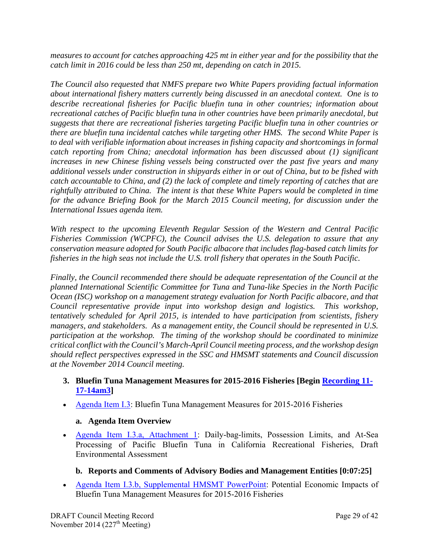*measures to account for catches approaching 425 mt in either year and for the possibility that the catch limit in 2016 could be less than 250 mt, depending on catch in 2015.* 

*The Council also requested that NMFS prepare two White Papers providing factual information about international fishery matters currently being discussed in an anecdotal context. One is to describe recreational fisheries for Pacific bluefin tuna in other countries; information about recreational catches of Pacific bluefin tuna in other countries have been primarily anecdotal, but suggests that there are recreational fisheries targeting Pacific bluefin tuna in other countries or there are bluefin tuna incidental catches while targeting other HMS. The second White Paper is to deal with verifiable information about increases in fishing capacity and shortcomings in formal catch reporting from China; anecdotal information has been discussed about (1) significant increases in new Chinese fishing vessels being constructed over the past five years and many additional vessels under construction in shipyards either in or out of China, but to be fished with catch accountable to China, and (2) the lack of complete and timely reporting of catches that are rightfully attributed to China. The intent is that these White Papers would be completed in time for the advance Briefing Book for the March 2015 Council meeting, for discussion under the International Issues agenda item.* 

*With respect to the upcoming Eleventh Regular Session of the Western and Central Pacific Fisheries Commission (WCPFC), the Council advises the U.S. delegation to assure that any conservation measure adopted for South Pacific albacore that includes flag-based catch limits for fisheries in the high seas not include the U.S. troll fishery that operates in the South Pacific.* 

*Finally, the Council recommended there should be adequate representation of the Council at the planned International Scientific Committee for Tuna and Tuna-like Species in the North Pacific Ocean (ISC) workshop on a management strategy evaluation for North Pacific albacore, and that Council representative provide input into workshop design and logistics. This workshop, tentatively scheduled for April 2015, is intended to have participation from scientists, fishery managers, and stakeholders. As a management entity, the Council should be represented in U.S. participation at the workshop. The timing of the workshop should be coordinated to minimize critical conflict with the Council's March-April Council meeting process, and the workshop design should reflect perspectives expressed in the SSC and HMSMT statements and Council discussion at the November 2014 Council meeting.* 

## **3. Bluefin Tuna Management Measures for 2015-2016 Fisheries [Begin Recording 11- 17-14am3]**

Agenda Item I.3: Bluefin Tuna Management Measures for 2015-2016 Fisheries

## **a. Agenda Item Overview**

 Agenda Item I.3.a, Attachment 1: Daily-bag-limits, Possession Limits, and At-Sea Processing of Pacific Bluefin Tuna in California Recreational Fisheries, Draft Environmental Assessment

## **b. Reports and Comments of Advisory Bodies and Management Entities [0:07:25]**

• Agenda Item I.3.b, Supplemental HMSMT PowerPoint: Potential Economic Impacts of Bluefin Tuna Management Measures for 2015-2016 Fisheries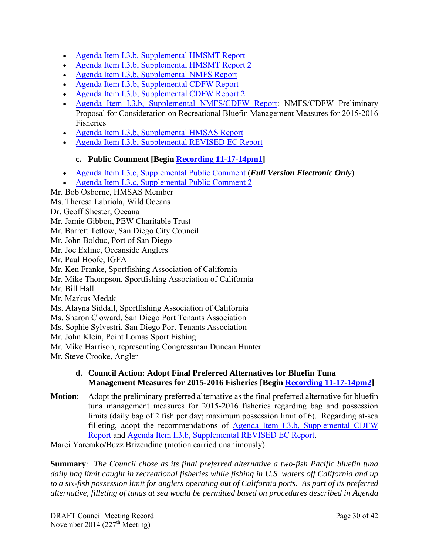- Agenda Item I.3.b, Supplemental HMSMT Report
- Agenda Item I.3.b, Supplemental HMSMT Report 2
- Agenda Item I.3.b, Supplemental NMFS Report
- Agenda Item I.3.b, Supplemental CDFW Report
- Agenda Item I.3.b, Supplemental CDFW Report 2
- Agenda Item I.3.b, Supplemental NMFS/CDFW Report: NMFS/CDFW Preliminary Proposal for Consideration on Recreational Bluefin Management Measures for 2015‐2016 Fisheries
- Agenda Item I.3.b, Supplemental HMSAS Report
- Agenda Item I.3.b, Supplemental REVISED EC Report

## **c. Public Comment [Begin Recording 11-17-14pm1]**

- Agenda Item I.3.c, Supplemental Public Comment (*Full Version Electronic Only*)
- Agenda Item I.3.c, Supplemental Public Comment 2
- Mr. Bob Osborne, HMSAS Member

Ms. Theresa Labriola, Wild Oceans

- Dr. Geoff Shester, Oceana
- Mr. Jamie Gibbon, PEW Charitable Trust
- Mr. Barrett Tetlow, San Diego City Council
- Mr. John Bolduc, Port of San Diego
- Mr. Joe Exline, Oceanside Anglers
- Mr. Paul Hoofe, IGFA
- Mr. Ken Franke, Sportfishing Association of California
- Mr. Mike Thompson, Sportfishing Association of California
- Mr. Bill Hall
- Mr. Markus Medak
- Ms. Alayna Siddall, Sportfishing Association of California
- Ms. Sharon Cloward, San Diego Port Tenants Association
- Ms. Sophie Sylvestri, San Diego Port Tenants Association
- Mr. John Klein, Point Lomas Sport Fishing
- Mr. Mike Harrison, representing Congressman Duncan Hunter
- Mr. Steve Crooke, Angler

## **d. Council Action: Adopt Final Preferred Alternatives for Bluefin Tuna Management Measures for 2015-2016 Fisheries [Begin Recording 11-17-14pm2]**

**Motion**: Adopt the preliminary preferred alternative as the final preferred alternative for bluefin tuna management measures for 2015-2016 fisheries regarding bag and possession limits (daily bag of 2 fish per day; maximum possession limit of 6). Regarding at-sea filleting, adopt the recommendations of Agenda Item I.3.b, Supplemental CDFW Report and Agenda Item I.3.b, Supplemental REVISED EC Report.

Marci Yaremko/Buzz Brizendine (motion carried unanimously)

**Summary**: *The Council chose as its final preferred alternative a two-fish Pacific bluefin tuna daily bag limit caught in recreational fisheries while fishing in U.S. waters off California and up to a six-fish possession limit for anglers operating out of California ports. As part of its preferred alternative, filleting of tunas at sea would be permitted based on procedures described in Agenda*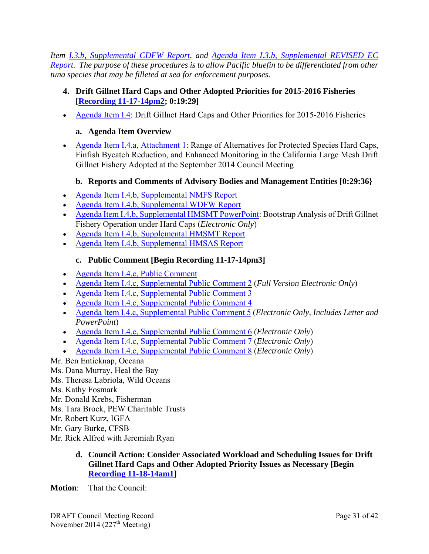*Item I.3.b, Supplemental CDFW Report, and Agenda Item I.3.b, Supplemental REVISED EC Report. The purpose of these procedures is to allow Pacific bluefin to be differentiated from other tuna species that may be filleted at sea for enforcement purposes.* 

## **4. Drift Gillnet Hard Caps and Other Adopted Priorities for 2015-2016 Fisheries [Recording 11-17-14pm2; 0:19:29]**

Agenda Item I.4: Drift Gillnet Hard Caps and Other Priorities for 2015-2016 Fisheries

### **a. Agenda Item Overview**

• Agenda Item I.4.a, Attachment 1: Range of Alternatives for Protected Species Hard Caps, Finfish Bycatch Reduction, and Enhanced Monitoring in the California Large Mesh Drift Gillnet Fishery Adopted at the September 2014 Council Meeting

## **b. Reports and Comments of Advisory Bodies and Management Entities [0:29:36}**

- Agenda Item I.4.b, Supplemental NMFS Report
- Agenda Item I.4.b, Supplemental WDFW Report
- Agenda Item I.4.b, Supplemental HMSMT PowerPoint: Bootstrap Analysis of Drift Gillnet Fishery Operation under Hard Caps (*Electronic Only*)
- Agenda Item I.4.b, Supplemental HMSMT Report
- Agenda Item I.4.b, Supplemental HMSAS Report

## **c. Public Comment [Begin Recording 11-17-14pm3]**

- Agenda Item I.4.c, Public Comment
- Agenda Item I.4.c, Supplemental Public Comment 2 (*Full Version Electronic Only*)
- Agenda Item I.4.c, Supplemental Public Comment 3
- Agenda Item I.4.c, Supplemental Public Comment 4
- Agenda Item I.4.c, Supplemental Public Comment 5 (*Electronic Only, Includes Letter and PowerPoint*)
- Agenda Item I.4.c, Supplemental Public Comment 6 (*Electronic Only*)
- Agenda Item I.4.c, Supplemental Public Comment 7 (*Electronic Only*)
- Agenda Item I.4.c, Supplemental Public Comment 8 (*Electronic Only*)

## Mr. Ben Enticknap, Oceana

- Ms. Dana Murray, Heal the Bay
- Ms. Theresa Labriola, Wild Oceans
- Ms. Kathy Fosmark
- Mr. Donald Krebs, Fisherman
- Ms. Tara Brock, PEW Charitable Trusts
- Mr. Robert Kurz, IGFA
- Mr. Gary Burke, CFSB
- Mr. Rick Alfred with Jeremiah Ryan
	- **d. Council Action: Consider Associated Workload and Scheduling Issues for Drift Gillnet Hard Caps and Other Adopted Priority Issues as Necessary [Begin Recording 11-18-14am1]**
- **Motion**: That the Council: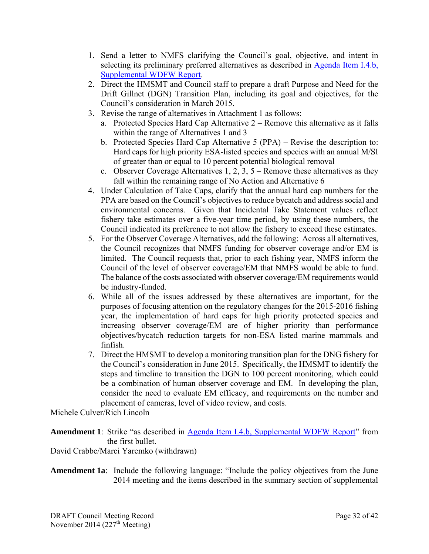- 1. Send a letter to NMFS clarifying the Council's goal, objective, and intent in selecting its preliminary preferred alternatives as described in Agenda Item I.4.b, Supplemental WDFW Report.
- 2. Direct the HMSMT and Council staff to prepare a draft Purpose and Need for the Drift Gillnet (DGN) Transition Plan, including its goal and objectives, for the Council's consideration in March 2015.
- 3. Revise the range of alternatives in Attachment 1 as follows:
	- a. Protected Species Hard Cap Alternative 2 Remove this alternative as it falls within the range of Alternatives 1 and 3
	- b. Protected Species Hard Cap Alternative 5 (PPA) Revise the description to: Hard caps for high priority ESA-listed species and species with an annual M/SI of greater than or equal to 10 percent potential biological removal
	- c. Observer Coverage Alternatives 1, 2, 3, 5 Remove these alternatives as they fall within the remaining range of No Action and Alternative 6
- 4. Under Calculation of Take Caps, clarify that the annual hard cap numbers for the PPA are based on the Council's objectives to reduce bycatch and address social and environmental concerns. Given that Incidental Take Statement values reflect fishery take estimates over a five-year time period, by using these numbers, the Council indicated its preference to not allow the fishery to exceed these estimates.
- 5. For the Observer Coverage Alternatives, add the following: Across all alternatives, the Council recognizes that NMFS funding for observer coverage and/or EM is limited. The Council requests that, prior to each fishing year, NMFS inform the Council of the level of observer coverage/EM that NMFS would be able to fund. The balance of the costs associated with observer coverage/EM requirements would be industry-funded.
- 6. While all of the issues addressed by these alternatives are important, for the purposes of focusing attention on the regulatory changes for the 2015-2016 fishing year, the implementation of hard caps for high priority protected species and increasing observer coverage/EM are of higher priority than performance objectives/bycatch reduction targets for non-ESA listed marine mammals and finfish.
- 7. Direct the HMSMT to develop a monitoring transition plan for the DNG fishery for the Council's consideration in June 2015. Specifically, the HMSMT to identify the steps and timeline to transition the DGN to 100 percent monitoring, which could be a combination of human observer coverage and EM. In developing the plan, consider the need to evaluate EM efficacy, and requirements on the number and placement of cameras, level of video review, and costs.

Michele Culver/Rich Lincoln

**Amendment 1**: Strike "as described in Agenda Item I.4.b, Supplemental WDFW Report" from the first bullet.

David Crabbe/Marci Yaremko (withdrawn)

**Amendment 1a**: Include the following language: "Include the policy objectives from the June 2014 meeting and the items described in the summary section of supplemental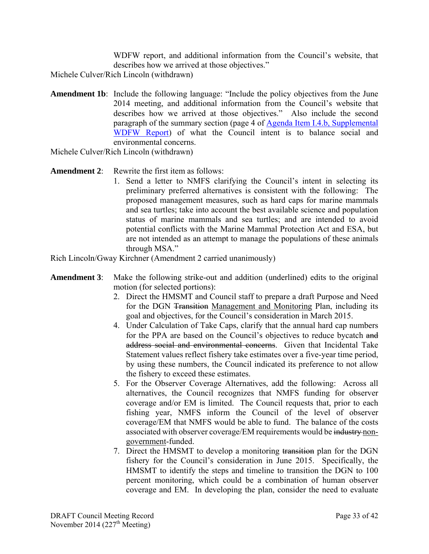WDFW report, and additional information from the Council's website, that describes how we arrived at those objectives."

Michele Culver/Rich Lincoln (withdrawn)

**Amendment 1b**: Include the following language: "Include the policy objectives from the June 2014 meeting, and additional information from the Council's website that describes how we arrived at those objectives." Also include the second paragraph of the summary section (page 4 of Agenda Item I.4.b, Supplemental WDFW Report) of what the Council intent is to balance social and environmental concerns.

Michele Culver/Rich Lincoln (withdrawn)

**Amendment 2:** Rewrite the first item as follows:

1. Send a letter to NMFS clarifying the Council's intent in selecting its preliminary preferred alternatives is consistent with the following: The proposed management measures, such as hard caps for marine mammals and sea turtles; take into account the best available science and population status of marine mammals and sea turtles; and are intended to avoid potential conflicts with the Marine Mammal Protection Act and ESA, but are not intended as an attempt to manage the populations of these animals through MSA."

Rich Lincoln/Gway Kirchner (Amendment 2 carried unanimously)

- **Amendment 3**: Make the following strike-out and addition (underlined) edits to the original motion (for selected portions):
	- 2. Direct the HMSMT and Council staff to prepare a draft Purpose and Need for the DGN Transition Management and Monitoring Plan, including its goal and objectives, for the Council's consideration in March 2015.
	- 4. Under Calculation of Take Caps, clarify that the annual hard cap numbers for the PPA are based on the Council's objectives to reduce bycatch and address social and environmental concerns. Given that Incidental Take Statement values reflect fishery take estimates over a five-year time period, by using these numbers, the Council indicated its preference to not allow the fishery to exceed these estimates.
	- 5. For the Observer Coverage Alternatives, add the following: Across all alternatives, the Council recognizes that NMFS funding for observer coverage and/or EM is limited. The Council requests that, prior to each fishing year, NMFS inform the Council of the level of observer coverage/EM that NMFS would be able to fund. The balance of the costs associated with observer coverage/EM requirements would be industry nongovernment-funded.
	- 7. Direct the HMSMT to develop a monitoring transition plan for the DGN fishery for the Council's consideration in June 2015. Specifically, the HMSMT to identify the steps and timeline to transition the DGN to 100 percent monitoring, which could be a combination of human observer coverage and EM. In developing the plan, consider the need to evaluate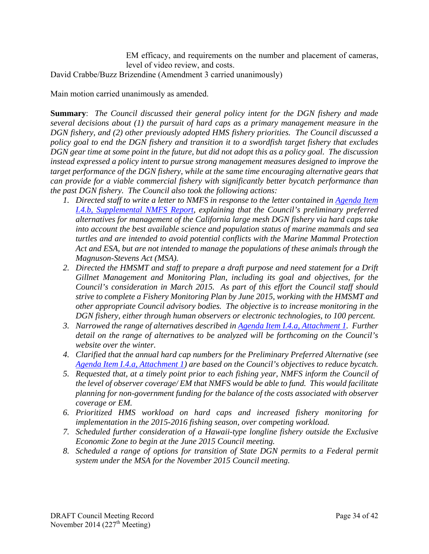EM efficacy, and requirements on the number and placement of cameras, level of video review, and costs.

David Crabbe/Buzz Brizendine (Amendment 3 carried unanimously)

Main motion carried unanimously as amended.

**Summary**: *The Council discussed their general policy intent for the DGN fishery and made several decisions about (1) the pursuit of hard caps as a primary management measure in the DGN fishery, and (2) other previously adopted HMS fishery priorities. The Council discussed a policy goal to end the DGN fishery and transition it to a swordfish target fishery that excludes DGN gear time at some point in the future, but did not adopt this as a policy goal. The discussion instead expressed a policy intent to pursue strong management measures designed to improve the target performance of the DGN fishery, while at the same time encouraging alternative gears that can provide for a viable commercial fishery with significantly better bycatch performance than the past DGN fishery. The Council also took the following actions:* 

- *1. Directed staff to write a letter to NMFS in response to the letter contained in Agenda Item I.4.b, Supplemental NMFS Report, explaining that the Council's preliminary preferred alternatives for management of the California large mesh DGN fishery via hard caps take into account the best available science and population status of marine mammals and sea turtles and are intended to avoid potential conflicts with the Marine Mammal Protection Act and ESA, but are not intended to manage the populations of these animals through the Magnuson-Stevens Act (MSA).*
- *2. Directed the HMSMT and staff to prepare a draft purpose and need statement for a Drift Gillnet Management and Monitoring Plan, including its goal and objectives, for the Council's consideration in March 2015. As part of this effort the Council staff should strive to complete a Fishery Monitoring Plan by June 2015, working with the HMSMT and other appropriate Council advisory bodies. The objective is to increase monitoring in the DGN fishery, either through human observers or electronic technologies, to 100 percent.*
- *3. Narrowed the range of alternatives described in Agenda Item I.4.a, Attachment 1. Further detail on the range of alternatives to be analyzed will be forthcoming on the Council's website over the winter.*
- *4. Clarified that the annual hard cap numbers for the Preliminary Preferred Alternative (see Agenda Item I.4.a, Attachment 1) are based on the Council's objectives to reduce bycatch.*
- *5. Requested that, at a timely point prior to each fishing year, NMFS inform the Council of the level of observer coverage/ EM that NMFS would be able to fund. This would facilitate planning for non-government funding for the balance of the costs associated with observer coverage or EM.*
- *6. Prioritized HMS workload on hard caps and increased fishery monitoring for implementation in the 2015-2016 fishing season, over competing workload.*
- *7. Scheduled further consideration of a Hawaii-type longline fishery outside the Exclusive Economic Zone to begin at the June 2015 Council meeting.*
- *8. Scheduled a range of options for transition of State DGN permits to a Federal permit system under the MSA for the November 2015 Council meeting.*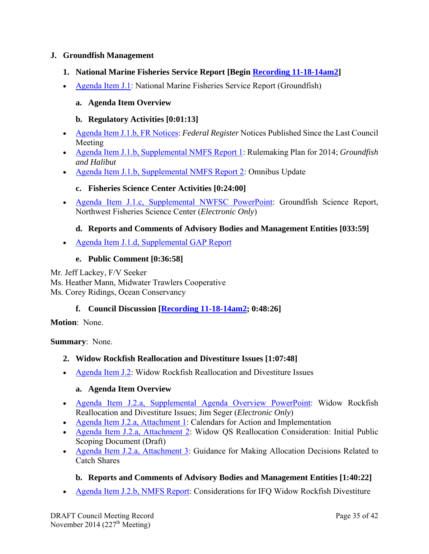### **J. Groundfish Management**

- **1. National Marine Fisheries Service Report [Begin Recording 11-18-14am2]**
- Agenda Item J.1: National Marine Fisheries Service Report (Groundfish)

#### **a. Agenda Item Overview**

### **b. Regulatory Activities [0:01:13]**

- Agenda Item J.1.b, FR Notices: *Federal Register* Notices Published Since the Last Council Meeting
- Agenda Item J.1.b, Supplemental NMFS Report 1: Rulemaking Plan for 2014; *Groundfish and Halibut*
- Agenda Item J.1.b, Supplemental NMFS Report 2: Omnibus Update

### **c. Fisheries Science Center Activities [0:24:00]**

 Agenda Item J.1.c, Supplemental NWFSC PowerPoint: Groundfish Science Report, Northwest Fisheries Science Center (*Electronic Only*)

### **d. Reports and Comments of Advisory Bodies and Management Entities [033:59]**

• Agenda Item J.1.d, Supplemental GAP Report

### **e. Public Comment [0:36:58]**

Mr. Jeff Lackey, F/V Seeker Ms. Heather Mann, Midwater Trawlers Cooperative Ms. Corey Ridings, Ocean Conservancy

#### **f. Council Discussion [Recording 11-18-14am2; 0:48:26]**

**Motion**: None.

**Summary**: None.

#### **2. Widow Rockfish Reallocation and Divestiture Issues [1:07:48]**

• Agenda Item J.2: Widow Rockfish Reallocation and Divestiture Issues

#### **a. Agenda Item Overview**

- Agenda Item J.2.a, Supplemental Agenda Overview PowerPoint: Widow Rockfish Reallocation and Divestiture Issues; Jim Seger (*Electronic Only*)
- Agenda Item J.2.a, Attachment 1: Calendars for Action and Implementation
- Agenda Item J.2.a, Attachment 2: Widow QS Reallocation Consideration: Initial Public Scoping Document (Draft)
- Agenda Item J.2.a, Attachment 3: Guidance for Making Allocation Decisions Related to Catch Shares

## **b. Reports and Comments of Advisory Bodies and Management Entities [1:40:22]**

• Agenda Item J.2.b, NMFS Report: Considerations for IFQ Widow Rockfish Divestiture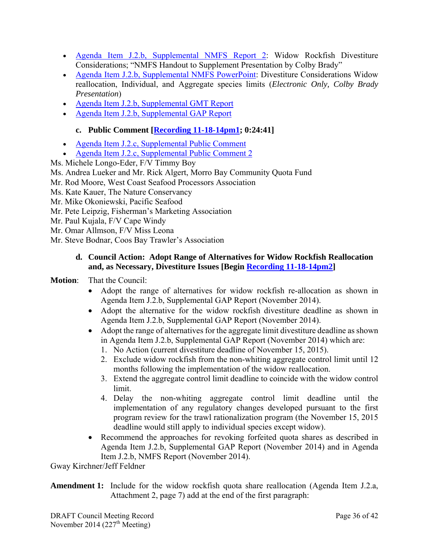- Agenda Item J.2.b, Supplemental NMFS Report 2: Widow Rockfish Divestiture Considerations; "NMFS Handout to Supplement Presentation by Colby Brady"
- Agenda Item J.2.b, Supplemental NMFS PowerPoint: Divestiture Considerations Widow reallocation, Individual, and Aggregate species limits (*Electronic Only, Colby Brady Presentation*)
- Agenda Item J.2.b, Supplemental GMT Report
- Agenda Item J.2.b, Supplemental GAP Report

### **c. Public Comment [Recording 11-18-14pm1; 0:24:41]**

- Agenda Item J.2.c, Supplemental Public Comment
- Agenda Item J.2.c, Supplemental Public Comment 2

Ms. Michele Longo-Eder, F/V Timmy Boy

- Ms. Andrea Lueker and Mr. Rick Algert, Morro Bay Community Quota Fund
- Mr. Rod Moore, West Coast Seafood Processors Association
- Ms. Kate Kauer, The Nature Conservancy
- Mr. Mike Okoniewski, Pacific Seafood
- Mr. Pete Leipzig, Fisherman's Marketing Association
- Mr. Paul Kujala, F/V Cape Windy
- Mr. Omar Allmson, F/V Miss Leona
- Mr. Steve Bodnar, Coos Bay Trawler's Association

### **d. Council Action: Adopt Range of Alternatives for Widow Rockfish Reallocation and, as Necessary, Divestiture Issues [Begin Recording 11-18-14pm2]**

#### **Motion**: That the Council:

- Adopt the range of alternatives for widow rockfish re-allocation as shown in Agenda Item J.2.b, Supplemental GAP Report (November 2014).
- Adopt the alternative for the widow rockfish divestiture deadline as shown in Agenda Item J.2.b, Supplemental GAP Report (November 2014).
- Adopt the range of alternatives for the aggregate limit divestiture deadline as shown in Agenda Item J.2.b, Supplemental GAP Report (November 2014) which are:
	- 1. No Action (current divestiture deadline of November 15, 2015).
	- 2. Exclude widow rockfish from the non-whiting aggregate control limit until 12 months following the implementation of the widow reallocation.
	- 3. Extend the aggregate control limit deadline to coincide with the widow control limit.
	- 4. Delay the non-whiting aggregate control limit deadline until the implementation of any regulatory changes developed pursuant to the first program review for the trawl rationalization program (the November 15, 2015 deadline would still apply to individual species except widow).
- Recommend the approaches for revoking forfeited quota shares as described in Agenda Item J.2.b, Supplemental GAP Report (November 2014) and in Agenda Item J.2.b, NMFS Report (November 2014).

Gway Kirchner/Jeff Feldner

**Amendment 1:** Include for the widow rockfish quota share reallocation (Agenda Item J.2.a, Attachment 2, page 7) add at the end of the first paragraph: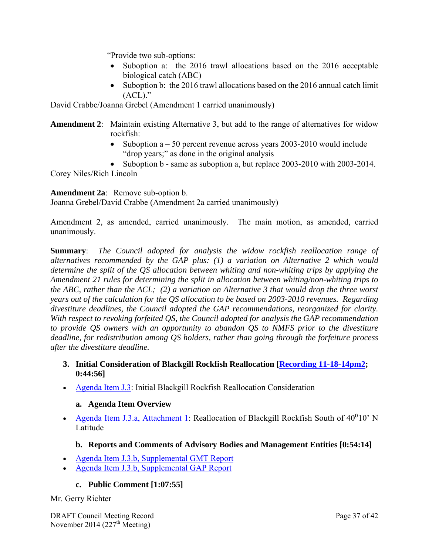"Provide two sub-options:

- Suboption a: the 2016 trawl allocations based on the 2016 acceptable biological catch (ABC)
- Suboption b: the 2016 trawl allocations based on the 2016 annual catch limit  $(ACL)$ ."

David Crabbe/Joanna Grebel (Amendment 1 carried unanimously)

- **Amendment 2**: Maintain existing Alternative 3, but add to the range of alternatives for widow rockfish:
	- Suboption  $a 50$  percent revenue across years 2003-2010 would include "drop years;" as done in the original analysis
	- Suboption b same as suboption a, but replace 2003-2010 with 2003-2014.

Corey Niles/Rich Lincoln

**Amendment 2a**: Remove sub-option b.

Joanna Grebel/David Crabbe (Amendment 2a carried unanimously)

Amendment 2, as amended, carried unanimously. The main motion, as amended, carried unanimously.

**Summary**: *The Council adopted for analysis the widow rockfish reallocation range of alternatives recommended by the GAP plus: (1) a variation on Alternative 2 which would determine the split of the QS allocation between whiting and non-whiting trips by applying the Amendment 21 rules for determining the split in allocation between whiting/non-whiting trips to the ABC, rather than the ACL; (2) a variation on Alternative 3 that would drop the three worst years out of the calculation for the QS allocation to be based on 2003-2010 revenues. Regarding divestiture deadlines, the Council adopted the GAP recommendations, reorganized for clarity. With respect to revoking forfeited QS, the Council adopted for analysis the GAP recommendation to provide QS owners with an opportunity to abandon QS to NMFS prior to the divestiture deadline, for redistribution among QS holders, rather than going through the forfeiture process after the divestiture deadline.* 

## **3. Initial Consideration of Blackgill Rockfish Reallocation [Recording 11-18-14pm2; 0:44:56]**

• Agenda Item J.3: Initial Blackgill Rockfish Reallocation Consideration

#### **a. Agenda Item Overview**

• Agenda Item J.3.a, Attachment 1: Reallocation of Blackgill Rockfish South of  $40^010'$  N Latitude

## **b. Reports and Comments of Advisory Bodies and Management Entities [0:54:14]**

- Agenda Item J.3.b, Supplemental GMT Report
- Agenda Item J.3.b, Supplemental GAP Report

## **c. Public Comment [1:07:55]**

Mr. Gerry Richter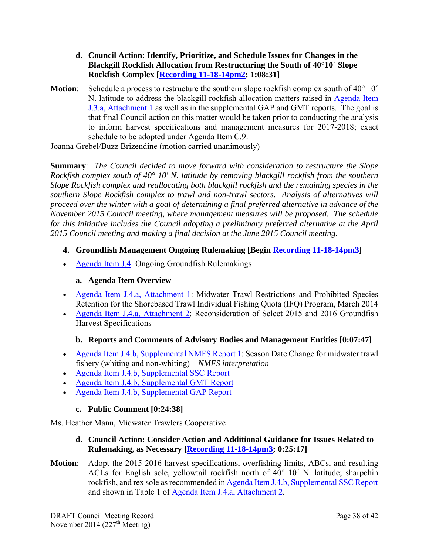- **d. Council Action: Identify, Prioritize, and Schedule Issues for Changes in the Blackgill Rockfish Allocation from Restructuring the South of 40°10´ Slope Rockfish Complex [Recording 11-18-14pm2; 1:08:31]**
- Motion: Schedule a process to restructure the southern slope rockfish complex south of 40° 10<sup>′</sup> N. latitude to address the blackgill rockfish allocation matters raised in Agenda Item J.3.a, Attachment 1 as well as in the supplemental GAP and GMT reports. The goal is that final Council action on this matter would be taken prior to conducting the analysis to inform harvest specifications and management measures for 2017-2018; exact schedule to be adopted under Agenda Item C.9.

Joanna Grebel/Buzz Brizendine (motion carried unanimously)

**Summary**: *The Council decided to move forward with consideration to restructure the Slope Rockfish complex south of 40° 10' N. latitude by removing blackgill rockfish from the southern Slope Rockfish complex and reallocating both blackgill rockfish and the remaining species in the southern Slope Rockfish complex to trawl and non-trawl sectors. Analysis of alternatives will proceed over the winter with a goal of determining a final preferred alternative in advance of the November 2015 Council meeting, where management measures will be proposed. The schedule for this initiative includes the Council adopting a preliminary preferred alternative at the April 2015 Council meeting and making a final decision at the June 2015 Council meeting.* 

## **4. Groundfish Management Ongoing Rulemaking [Begin Recording 11-18-14pm3]**

• Agenda Item J.4: Ongoing Groundfish Rulemakings

## **a. Agenda Item Overview**

- Agenda Item J.4.a, Attachment 1: Midwater Trawl Restrictions and Prohibited Species Retention for the Shorebased Trawl Individual Fishing Quota (IFQ) Program, March 2014
- Agenda Item J.4.a, Attachment 2: Reconsideration of Select 2015 and 2016 Groundfish Harvest Specifications

## **b. Reports and Comments of Advisory Bodies and Management Entities [0:07:47]**

- Agenda Item J.4.b, Supplemental NMFS Report 1: Season Date Change for midwater trawl fishery (whiting and non-whiting) – *NMFS interpretation*
- Agenda Item J.4.b, Supplemental SSC Report
- Agenda Item J.4.b, Supplemental GMT Report
- Agenda Item J.4.b, Supplemental GAP Report

## **c. Public Comment [0:24:38]**

Ms. Heather Mann, Midwater Trawlers Cooperative

## **d. Council Action: Consider Action and Additional Guidance for Issues Related to Rulemaking, as Necessary [Recording 11-18-14pm3; 0:25:17]**

**Motion**: Adopt the 2015-2016 harvest specifications, overfishing limits, ABCs, and resulting ACLs for English sole, yellowtail rockfish north of 40° 10´ N. latitude; sharpchin rockfish, and rex sole as recommended in Agenda Item J.4.b, Supplemental SSC Report and shown in Table 1 of Agenda Item J.4.a, Attachment 2.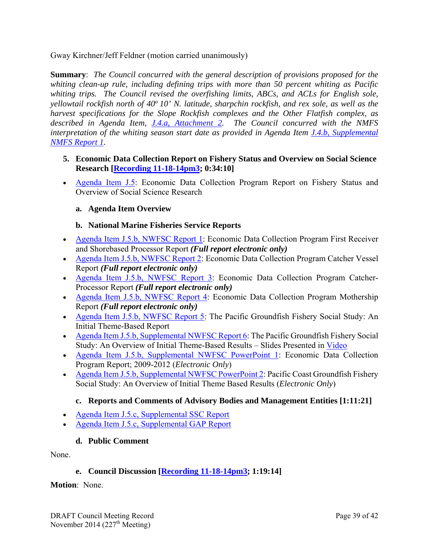Gway Kirchner/Jeff Feldner (motion carried unanimously)

**Summary**: *The Council concurred with the general description of provisions proposed for the whiting clean-up rule, including defining trips with more than 50 percent whiting as Pacific whiting trips. The Council revised the overfishing limits, ABCs, and ACLs for English sole, yellowtail rockfish north of 40° 10' N. latitude, sharpchin rockfish, and rex sole, as well as the harvest specifications for the Slope Rockfish complexes and the Other Flatfish complex, as described in Agenda Item, J.4.a, Attachment 2. The Council concurred with the NMFS interpretation of the whiting season start date as provided in Agenda Item J.4.b, Supplemental NMFS Report 1.*

### **5. Economic Data Collection Report on Fishery Status and Overview on Social Science Research [Recording 11-18-14pm3; 0:34:10]**

 Agenda Item J.5: Economic Data Collection Program Report on Fishery Status and Overview of Social Science Research

### **a. Agenda Item Overview**

### **b. National Marine Fisheries Service Reports**

- Agenda Item J.5.b, NWFSC Report 1: Economic Data Collection Program First Receiver and Shorebased Processor Report *(Full report electronic only)*
- Agenda Item J.5.b, NWFSC Report 2: Economic Data Collection Program Catcher Vessel Report *(Full report electronic only)*
- Agenda Item J.5.b, NWFSC Report 3: Economic Data Collection Program Catcher-Processor Report *(Full report electronic only)*
- Agenda Item J.5.b, NWFSC Report 4: Economic Data Collection Program Mothership Report *(Full report electronic only)*
- Agenda Item J.5.b, NWFSC Report 5: The Pacific Groundfish Fishery Social Study: An Initial Theme-Based Report
- Agenda Item J.5.b, Supplemental NWFSC Report 6: The Pacific Groundfish Fishery Social Study: An Overview of Initial Theme-Based Results – Slides Presented in Video
- Agenda Item J.5.b, Supplemental NWFSC PowerPoint 1: Economic Data Collection Program Report; 2009-2012 (*Electronic Only*)
- Agenda Item J.5.b, Supplemental NWFSC PowerPoint 2: Pacific Coast Groundfish Fishery Social Study: An Overview of Initial Theme Based Results (*Electronic Only*)

## **c. Reports and Comments of Advisory Bodies and Management Entities [1:11:21]**

- Agenda Item J.5.c, Supplemental SSC Report
- Agenda Item J.5.c, Supplemental GAP Report

## **d. Public Comment**

None.

## **e. Council Discussion [Recording 11-18-14pm3; 1:19:14]**

## **Motion**: None.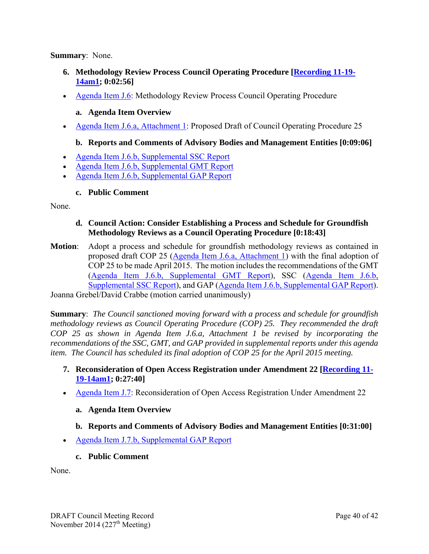#### **Summary**: None.

- **6. Methodology Review Process Council Operating Procedure [Recording 11-19- 14am1; 0:02:56]**
- Agenda Item J.6: Methodology Review Process Council Operating Procedure

#### **a. Agenda Item Overview**

• Agenda Item J.6.a, Attachment 1: Proposed Draft of Council Operating Procedure 25

### **b. Reports and Comments of Advisory Bodies and Management Entities [0:09:06]**

- Agenda Item J.6.b, Supplemental SSC Report
- Agenda Item J.6.b, Supplemental GMT Report
- Agenda Item J.6.b, Supplemental GAP Report

#### **c. Public Comment**

None.

#### **d. Council Action: Consider Establishing a Process and Schedule for Groundfish Methodology Reviews as a Council Operating Procedure [0:18:43]**

**Motion**: Adopt a process and schedule for groundfish methodology reviews as contained in proposed draft COP 25 (Agenda Item J.6.a, Attachment 1) with the final adoption of COP 25 to be made April 2015. The motion includes the recommendations of the GMT (Agenda Item J.6.b, Supplemental GMT Report), SSC (Agenda Item J.6.b, Supplemental SSC Report), and GAP (Agenda Item J.6.b, Supplemental GAP Report).

Joanna Grebel/David Crabbe (motion carried unanimously)

**Summary**: *The Council sanctioned moving forward with a process and schedule for groundfish methodology reviews as Council Operating Procedure (COP) 25. They recommended the draft COP 25 as shown in Agenda Item J.6.a, Attachment 1 be revised by incorporating the recommendations of the SSC, GMT, and GAP provided in supplemental reports under this agenda item. The Council has scheduled its final adoption of COP 25 for the April 2015 meeting.*

- **7. Reconsideration of Open Access Registration under Amendment 22 [Recording 11- 19-14am1; 0:27:40]**
- Agenda Item J.7: Reconsideration of Open Access Registration Under Amendment 22

#### **a. Agenda Item Overview**

- **b. Reports and Comments of Advisory Bodies and Management Entities [0:31:00]**
- Agenda Item J.7.b, Supplemental GAP Report
	- **c. Public Comment**

None.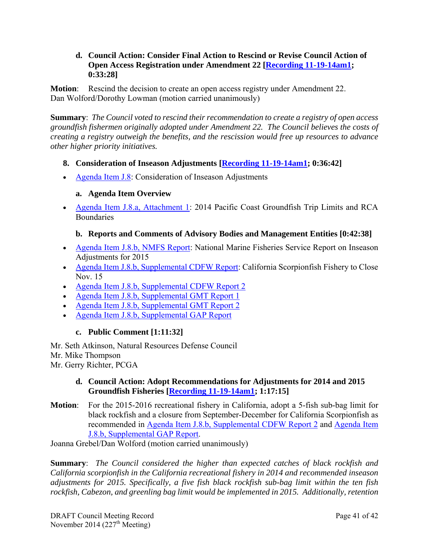#### **d. Council Action: Consider Final Action to Rescind or Revise Council Action of Open Access Registration under Amendment 22 [Recording 11-19-14am1; 0:33:28]**

**Motion**: Rescind the decision to create an open access registry under Amendment 22. Dan Wolford/Dorothy Lowman (motion carried unanimously)

**Summary**: *The Council voted to rescind their recommendation to create a registry of open access groundfish fishermen originally adopted under Amendment 22. The Council believes the costs of creating a registry outweigh the benefits, and the rescission would free up resources to advance other higher priority initiatives.*

## **8. Consideration of Inseason Adjustments [Recording 11-19-14am1; 0:36:42]**

• Agenda Item J.8: Consideration of Inseason Adjustments

## **a. Agenda Item Overview**

• Agenda Item J.8.a, Attachment 1: 2014 Pacific Coast Groundfish Trip Limits and RCA Boundaries

## **b. Reports and Comments of Advisory Bodies and Management Entities [0:42:38]**

- Agenda Item J.8.b, NMFS Report: National Marine Fisheries Service Report on Inseason Adjustments for 2015
- Agenda Item J.8.b, Supplemental CDFW Report: California Scorpionfish Fishery to Close Nov. 15
- Agenda Item J.8.b, Supplemental CDFW Report 2
- Agenda Item J.8.b, Supplemental GMT Report 1
- Agenda Item J.8.b, Supplemental GMT Report 2
- Agenda Item J.8.b, Supplemental GAP Report

## **c. Public Comment [1:11:32]**

Mr. Seth Atkinson, Natural Resources Defense Council Mr. Mike Thompson Mr. Gerry Richter, PCGA

#### **d. Council Action: Adopt Recommendations for Adjustments for 2014 and 2015 Groundfish Fisheries [Recording 11-19-14am1; 1:17:15]**

**Motion**: For the 2015-2016 recreational fishery in California, adopt a 5-fish sub-bag limit for black rockfish and a closure from September-December for California Scorpionfish as recommended in Agenda Item J.8.b, Supplemental CDFW Report 2 and Agenda Item J.8.b, Supplemental GAP Report.

Joanna Grebel/Dan Wolford (motion carried unanimously)

**Summary**: *The Council considered the higher than expected catches of black rockfish and California scorpionfish in the California recreational fishery in 2014 and recommended inseason adjustments for 2015. Specifically, a five fish black rockfish sub-bag limit within the ten fish rockfish, Cabezon, and greenling bag limit would be implemented in 2015. Additionally, retention*